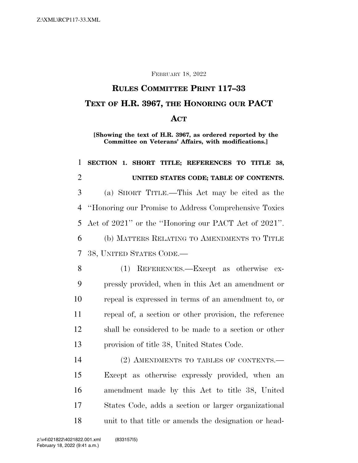### FEBRUARY 18, 2022

# **RULES COMMITTEE PRINT 117–33 TEXT OF H.R. 3967, THE HONORING OUR PACT ACT**

**[Showing the text of H.R. 3967, as ordered reported by the Committee on Veterans' Affairs, with modifications.]** 

# **SECTION 1. SHORT TITLE; REFERENCES TO TITLE 38, UNITED STATES CODE; TABLE OF CONTENTS.**  (a) SHORT TITLE.—This Act may be cited as the ''Honoring our Promise to Address Comprehensive Toxics Act of 2021'' or the ''Honoring our PACT Act of 2021''. (b) MATTERS RELATING TO AMENDMENTS TO TITLE 38, UNITED STATES CODE.— (1) REFERENCES.—Except as otherwise ex- pressly provided, when in this Act an amendment or repeal is expressed in terms of an amendment to, or repeal of, a section or other provision, the reference shall be considered to be made to a section or other provision of title 38, United States Code. 14 (2) AMENDMENTS TO TABLES OF CONTENTS. Except as otherwise expressly provided, when an amendment made by this Act to title 38, United States Code, adds a section or larger organizational unit to that title or amends the designation or head-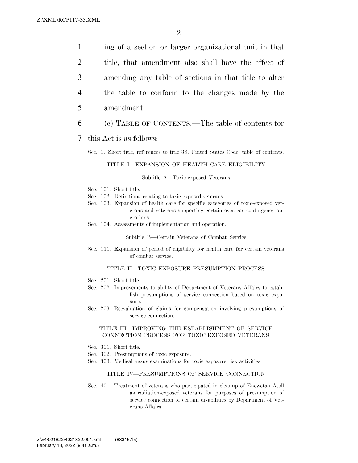ing of a section or larger organizational unit in that title, that amendment also shall have the effect of amending any table of sections in that title to alter the table to conform to the changes made by the amendment.

- 6 (c) TABLE OF CONTENTS.—The table of contents for
- 7 this Act is as follows:
	- Sec. 1. Short title; references to title 38, United States Code; table of contents.

### TITLE I—EXPANSION OF HEALTH CARE ELIGIBILITY

#### Subtitle A—Toxic-exposed Veterans

- Sec. 101. Short title.
- Sec. 102. Definitions relating to toxic-exposed veterans.
- Sec. 103. Expansion of health care for specific categories of toxic-exposed veterans and veterans supporting certain overseas contingency operations.
- Sec. 104. Assessments of implementation and operation.

Subtitle B—Certain Veterans of Combat Service

Sec. 111. Expansion of period of eligibility for health care for certain veterans of combat service.

### TITLE II—TOXIC EXPOSURE PRESUMPTION PROCESS

- Sec. 201. Short title.
- Sec. 202. Improvements to ability of Department of Veterans Affairs to establish presumptions of service connection based on toxic exposure.
- Sec. 203. Reevaluation of claims for compensation involving presumptions of service connection.

### TITLE III—IMPROVING THE ESTABLISHMENT OF SERVICE CONNECTION PROCESS FOR TOXIC-EXPOSED VETERANS

- Sec. 301. Short title.
- Sec. 302. Presumptions of toxic exposure.
- Sec. 303. Medical nexus examinations for toxic exposure risk activities.

### TITLE IV—PRESUMPTIONS OF SERVICE CONNECTION

Sec. 401. Treatment of veterans who participated in cleanup of Enewetak Atoll as radiation-exposed veterans for purposes of presumption of service connection of certain disabilities by Department of Veterans Affairs.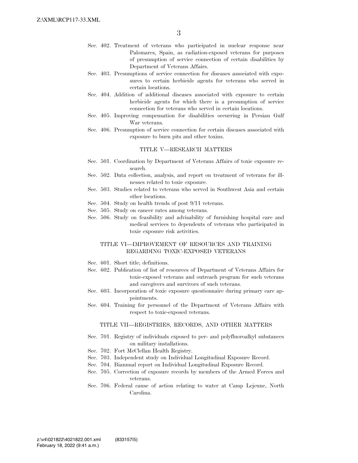- Sec. 402. Treatment of veterans who participated in nuclear response near Palomares, Spain, as radiation-exposed veterans for purposes of presumption of service connection of certain disabilities by Department of Veterans Affairs.
- Sec. 403. Presumptions of service connection for diseases associated with exposures to certain herbicide agents for veterans who served in certain locations.
- Sec. 404. Addition of additional diseases associated with exposure to certain herbicide agents for which there is a presumption of service connection for veterans who served in certain locations.
- Sec. 405. Improving compensation for disabilities occurring in Persian Gulf War veterans.
- Sec. 406. Presumption of service connection for certain diseases associated with exposure to burn pits and other toxins.

#### TITLE V—RESEARCH MATTERS

- Sec. 501. Coordination by Department of Veterans Affairs of toxic exposure research.
- Sec. 502. Data collection, analysis, and report on treatment of veterans for illnesses related to toxic exposure.
- Sec. 503. Studies related to veterans who served in Southwest Asia and certain other locations.
- Sec. 504. Study on health trends of post 9/11 veterans.
- Sec. 505. Study on cancer rates among veterans.
- Sec. 506. Study on feasibility and advisability of furnishing hospital care and medical services to dependents of veterans who participated in toxic exposure risk activities.

### TITLE VI—IMPROVEMENT OF RESOURCES AND TRAINING REGARDING TOXIC-EXPOSED VETERANS

- Sec. 601. Short title; definitions.
- Sec. 602. Publication of list of resources of Department of Veterans Affairs for toxic-exposed veterans and outreach program for such veterans and caregivers and survivors of such veterans.
- Sec. 603. Incorporation of toxic exposure questionnaire during primary care appointments.
- Sec. 604. Training for personnel of the Department of Veterans Affairs with respect to toxic-exposed veterans.

#### TITLE VII—REGISTRIES, RECORDS, AND OTHER MATTERS

- Sec. 701. Registry of individuals exposed to per- and polyfluoroalkyl substances on military installations.
- Sec. 702. Fort McClellan Health Registry.
- Sec. 703. Independent study on Individual Longitudinal Exposure Record.
- Sec. 704. Biannual report on Individual Longitudinal Exposure Record.
- Sec. 705. Correction of exposure records by members of the Armed Forces and veterans.
- Sec. 706. Federal cause of action relating to water at Camp Lejeune, North Carolina.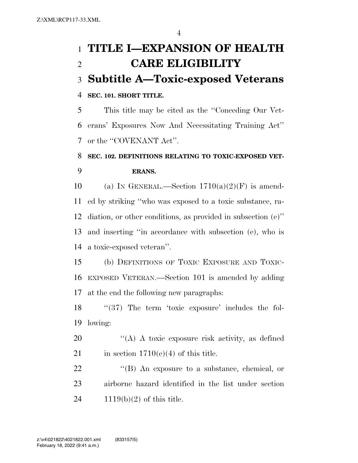# **TITLE I—EXPANSION OF HEALTH CARE ELIGIBILITY Subtitle A—Toxic-exposed Veterans SEC. 101. SHORT TITLE.**

 This title may be cited as the ''Conceding Our Vet- erans' Exposures Now And Necessitating Training Act'' 7 or the "COVENANT Act".

# **SEC. 102. DEFINITIONS RELATING TO TOXIC-EXPOSED VET-ERANS.**

10 (a) IN GENERAL.—Section  $1710(a)(2)(F)$  is amend- ed by striking ''who was exposed to a toxic substance, ra- diation, or other conditions, as provided in subsection (e)'' and inserting ''in accordance with subsection (e), who is a toxic-exposed veteran''.

 (b) DEFINITIONS OF TOXIC EXPOSURE AND TOXIC- EXPOSED VETERAN.—Section 101 is amended by adding at the end the following new paragraphs:

18 "(37) The term 'toxic exposure' includes the fol-lowing:

20 "(A) A toxic exposure risk activity, as defined 21 in section  $1710(e)(4)$  of this title.

22 "(B) An exposure to a substance, chemical, or airborne hazard identified in the list under section 1119(b)(2) of this title.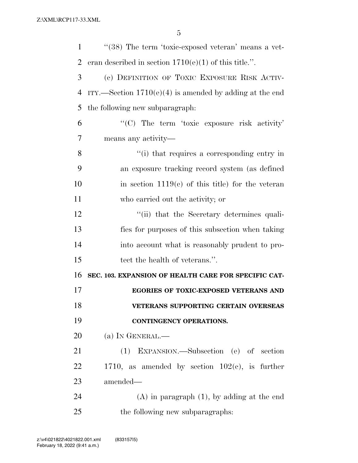| $\mathbf{1}$   | "(38) The term 'toxic-exposed veteran' means a vet-       |
|----------------|-----------------------------------------------------------|
| $\overline{2}$ | eran described in section $1710(e)(1)$ of this title.".   |
| 3              | (c) DEFINITION OF TOXIC EXPOSURE RISK ACTIV-              |
| 4              | ITY.—Section $1710(e)(4)$ is amended by adding at the end |
| 5              | the following new subparagraph.                           |
| 6              | "(C) The term 'toxic exposure risk activity'              |
| 7              | means any activity—                                       |
| 8              | "(i) that requires a corresponding entry in               |
| 9              | an exposure tracking record system (as defined            |
| 10             | in section $1119(c)$ of this title) for the veteran       |
| 11             | who carried out the activity; or                          |
| 12             | "(ii) that the Secretary determines quali-                |
| 13             | fies for purposes of this subsection when taking          |
| 14             | into account what is reasonably prudent to pro-           |
| 15             | tect the health of veterans.".                            |
| 16             | SEC. 103. EXPANSION OF HEALTH CARE FOR SPECIFIC CAT-      |
| 17             | EGORIES OF TOXIC-EXPOSED VETERANS AND                     |
| 18             | VETERANS SUPPORTING CERTAIN OVERSEAS                      |
| 19             | CONTINGENCY OPERATIONS.                                   |
| 20             | (a) IN GENERAL.—                                          |
| 21             | (1) EXPANSION.—Subsection (e) of section                  |
| 22             | 1710, as amended by section $102(c)$ , is further         |
| 23             | amended—                                                  |
| 24             | $(A)$ in paragraph $(1)$ , by adding at the end           |
| 25             | the following new subparagraphs:                          |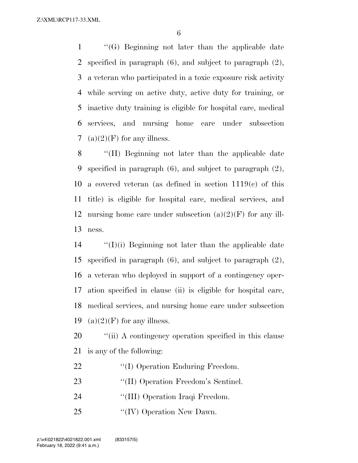''(G) Beginning not later than the applicable date specified in paragraph (6), and subject to paragraph (2), a veteran who participated in a toxic exposure risk activity while serving on active duty, active duty for training, or inactive duty training is eligible for hospital care, medical services, and nursing home care under subsection 7 (a) $(2)(F)$  for any illness.

 ''(H) Beginning not later than the applicable date specified in paragraph (6), and subject to paragraph (2), a covered veteran (as defined in section 1119(c) of this title) is eligible for hospital care, medical services, and 12 nursing home care under subsection  $(a)(2)(F)$  for any ill-ness.

 ''(I)(i) Beginning not later than the applicable date specified in paragraph (6), and subject to paragraph (2), a veteran who deployed in support of a contingency oper- ation specified in clause (ii) is eligible for hospital care, medical services, and nursing home care under subsection 19 (a) $(2)(F)$  for any illness.

20  $\frac{1}{20}$  ''(ii) A contingency operation specified in this clause is any of the following:

- 22 ''(I) Operation Enduring Freedom.
- 23 "'(II) Operation Freedom's Sentinel.
- 24 ''(III) Operation Iraqi Freedom.
- 25 "(IV) Operation New Dawn.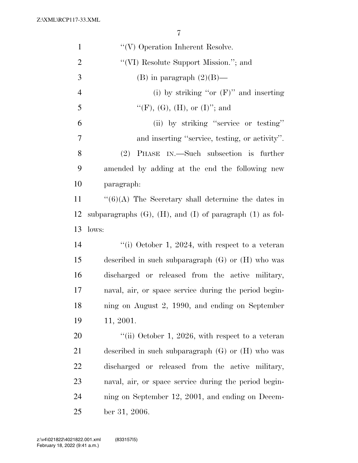| $\mathbf{1}$   | $\lq\lq(V)$ Operation Inherent Resolve.                            |
|----------------|--------------------------------------------------------------------|
| $\overline{2}$ | "(VI) Resolute Support Mission."; and                              |
| 3              | (B) in paragraph $(2)(B)$ —                                        |
| $\overline{4}$ | (i) by striking "or $(F)$ " and inserting                          |
| 5              | "(F), (G), (H), or (I)"; and                                       |
| 6              | (ii) by striking "service or testing"                              |
| $\tau$         | and inserting "service, testing, or activity".                     |
| 8              | PHASE IN.—Such subsection is further<br>(2)                        |
| 9              | amended by adding at the end the following new                     |
| 10             | paragraph:                                                         |
| 11             | $\lq(6)(A)$ The Secretary shall determine the dates in             |
| 12             | subparagraphs $(G)$ , $(H)$ , and $(I)$ of paragraph $(1)$ as fol- |
| 13             | lows:                                                              |
| 14             | "(i) October 1, 2024, with respect to a veteran                    |
| 15             | described in such subparagraph $(G)$ or $(H)$ who was              |
| 16             | discharged or released from the active military,                   |
| 17             | naval, air, or space service during the period begin-              |
| 18             | ning on August 2, 1990, and ending on September                    |
| 19             | 11, 2001.                                                          |
| 20             | "(ii) October 1, 2026, with respect to a veteran                   |
| 21             | described in such subparagraph $(G)$ or $(H)$ who was              |
| 22             | discharged or released from the active military,                   |
| 23             | naval, air, or space service during the period begin-              |
| 24             | ning on September 12, 2001, and ending on Decem-                   |
| 25             | ber 31, 2006.                                                      |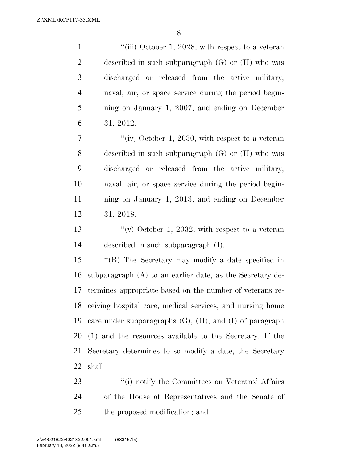1 ''(iii) October 1, 2028, with respect to a veteran described in such subparagraph (G) or (H) who was discharged or released from the active military, naval, air, or space service during the period begin- ning on January 1, 2007, and ending on December 31, 2012.

7 "(iv) October 1, 2030, with respect to a veteran described in such subparagraph (G) or (H) who was discharged or released from the active military, naval, air, or space service during the period begin- ning on January 1, 2013, and ending on December 31, 2018.

13  $\frac{u(y)}{y}$  October 1, 2032, with respect to a veteran described in such subparagraph (I).

 ''(B) The Secretary may modify a date specified in subparagraph (A) to an earlier date, as the Secretary de- termines appropriate based on the number of veterans re- ceiving hospital care, medical services, and nursing home care under subparagraphs (G), (H), and (I) of paragraph (1) and the resources available to the Secretary. If the Secretary determines to so modify a date, the Secretary shall—

23 ''(i) notify the Committees on Veterans' Affairs of the House of Representatives and the Senate of the proposed modification; and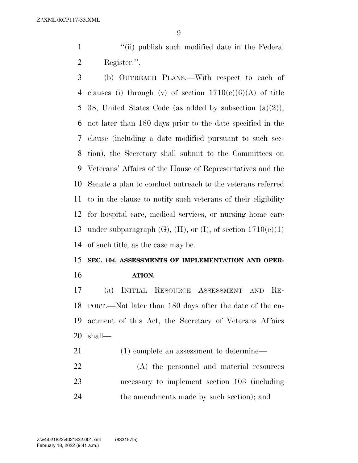1 ''(ii) publish such modified date in the Federal Register.''.

 (b) OUTREACH PLANS.—With respect to each of 4 clauses (i) through (v) of section  $1710(e)(6)(A)$  of title 38, United States Code (as added by subsection (a)(2)), not later than 180 days prior to the date specified in the clause (including a date modified pursuant to such sec- tion), the Secretary shall submit to the Committees on Veterans' Affairs of the House of Representatives and the Senate a plan to conduct outreach to the veterans referred to in the clause to notify such veterans of their eligibility for hospital care, medical services, or nursing home care 13 under subparagraph  $(G)$ ,  $(H)$ , or  $(I)$ , of section  $1710(e)(1)$ of such title, as the case may be.

# **SEC. 104. ASSESSMENTS OF IMPLEMENTATION AND OPER-ATION.**

 (a) INITIAL RESOURCE ASSESSMENT AND RE- PORT.—Not later than 180 days after the date of the en- actment of this Act, the Secretary of Veterans Affairs shall—

21 (1) complete an assessment to determine—

 (A) the personnel and material resources necessary to implement section 103 (including the amendments made by such section); and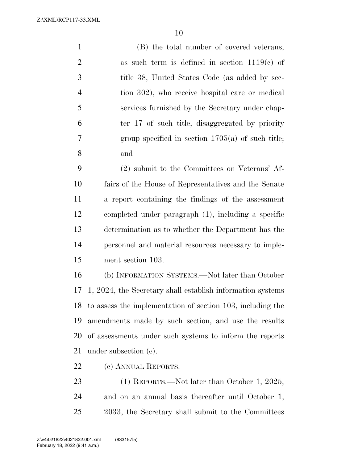(B) the total number of covered veterans, 2 as such term is defined in section  $1119(c)$  of title 38, United States Code (as added by sec- tion 302), who receive hospital care or medical services furnished by the Secretary under chap- ter 17 of such title, disaggregated by priority group specified in section 1705(a) of such title; and

 (2) submit to the Committees on Veterans' Af- fairs of the House of Representatives and the Senate a report containing the findings of the assessment completed under paragraph (1), including a specific determination as to whether the Department has the personnel and material resources necessary to imple-ment section 103.

 (b) INFORMATION SYSTEMS.—Not later than October 1, 2024, the Secretary shall establish information systems to assess the implementation of section 103, including the amendments made by such section, and use the results of assessments under such systems to inform the reports under subsection (c).

(c) ANNUAL REPORTS.—

 (1) REPORTS.—Not later than October 1, 2025, and on an annual basis thereafter until October 1, 2033, the Secretary shall submit to the Committees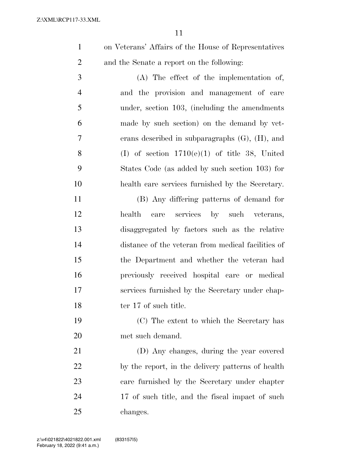on Veterans' Affairs of the House of Representatives and the Senate a report on the following:

 (A) The effect of the implementation of, and the provision and management of care under, section 103, (including the amendments made by such section) on the demand by vet- erans described in subparagraphs (G), (H), and 8 (I) of section  $1710(e)(1)$  of title 38, United States Code (as added by such section 103) for health care services furnished by the Secretary.

 (B) Any differing patterns of demand for health care services by such veterans, disaggregated by factors such as the relative distance of the veteran from medical facilities of the Department and whether the veteran had previously received hospital care or medical services furnished by the Secretary under chap-18 ter 17 of such title.

 (C) The extent to which the Secretary has met such demand.

 (D) Any changes, during the year covered by the report, in the delivery patterns of health care furnished by the Secretary under chapter 24 17 of such title, and the fiscal impact of such changes.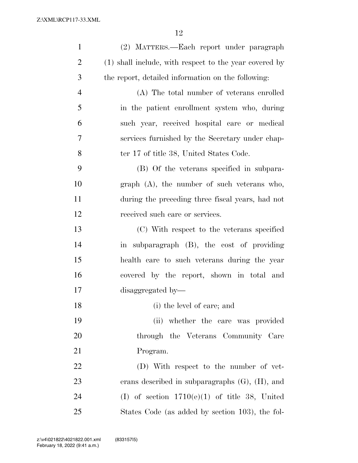| $\mathbf{1}$   | (2) MATTERS.—Each report under paragraph               |
|----------------|--------------------------------------------------------|
| $\overline{2}$ | (1) shall include, with respect to the year covered by |
| 3              | the report, detailed information on the following:     |
| $\overline{4}$ | (A) The total number of veterans enrolled              |
| 5              | in the patient enrollment system who, during           |
| 6              | such year, received hospital care or medical           |
| 7              | services furnished by the Secretary under chap-        |
| 8              | ter 17 of title 38, United States Code.                |
| 9              | (B) Of the veterans specified in subpara-              |
| 10             | $graph$ (A), the number of such veterans who,          |
| 11             | during the preceding three fiscal years, had not       |
| 12             | received such care or services.                        |
| 13             | (C) With respect to the veterans specified             |
| 14             | in subparagraph (B), the cost of providing             |
| 15             | health care to such veterans during the year           |
| 16             | covered by the report, shown in total and              |
| 17             | disaggregated by-                                      |
| 18             | (i) the level of care; and                             |
| 19             | (ii) whether the care was provided                     |
| 20             | through the Veterans Community Care                    |
| 21             | Program.                                               |
| 22             | (D) With respect to the number of vet-                 |
| 23             | erans described in subparagraphs $(G)$ , $(H)$ , and   |
| 24             | (I) of section $1710(e)(1)$ of title 38, United        |
| 25             | States Code (as added by section 103), the fol-        |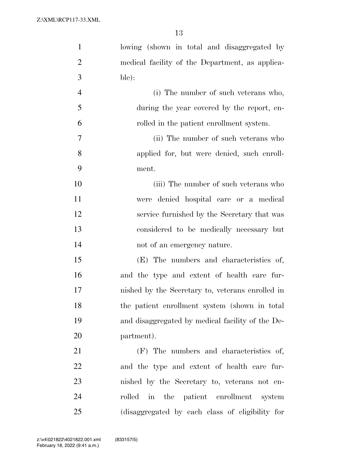| $\mathbf{1}$   | lowing (shown in total and disaggregated by      |
|----------------|--------------------------------------------------|
| $\overline{2}$ | medical facility of the Department, as applica-  |
| 3              | ble):                                            |
| $\overline{4}$ | (i) The number of such veterans who,             |
| 5              | during the year covered by the report, en-       |
| 6              | rolled in the patient enrollment system.         |
| 7              | (ii) The number of such veterans who             |
| 8              | applied for, but were denied, such enroll-       |
| 9              | ment.                                            |
| 10             | (iii) The number of such veterans who            |
| 11             | were denied hospital care or a medical           |
| 12             | service furnished by the Secretary that was      |
| 13             | considered to be medically necessary but         |
| 14             | not of an emergency nature.                      |
| 15             | (E) The numbers and characteristics of,          |
| 16             | and the type and extent of health care fur-      |
| 17             | nished by the Secretary to, veterans enrolled in |
| 18             | the patient enrollment system (shown in total)   |
| 19             | and disaggregated by medical facility of the De- |
| 20             | partment).                                       |
| 21             | (F) The numbers and characteristics of,          |
| 22             | and the type and extent of health care fur-      |
| 23             | nished by the Secretary to, veterans not en-     |
| 24             | rolled in the patient enrollment system          |
| 25             | (disaggregated by each class of eligibility for  |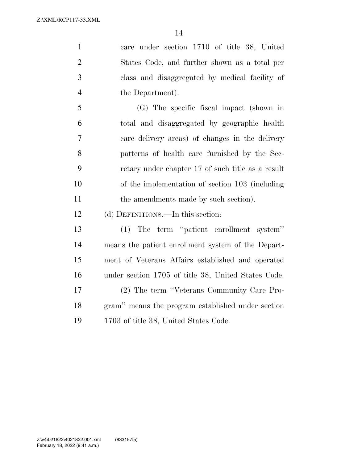care under section 1710 of title 38, United States Code, and further shown as a total per class and disaggregated by medical facility of the Department).

 (G) The specific fiscal impact (shown in total and disaggregated by geographic health care delivery areas) of changes in the delivery patterns of health care furnished by the Sec- retary under chapter 17 of such title as a result of the implementation of section 103 (including 11 the amendments made by such section).

(d) DEFINITIONS.—In this section:

 (1) The term ''patient enrollment system'' means the patient enrollment system of the Depart- ment of Veterans Affairs established and operated under section 1705 of title 38, United States Code. (2) The term ''Veterans Community Care Pro- gram'' means the program established under section 1703 of title 38, United States Code.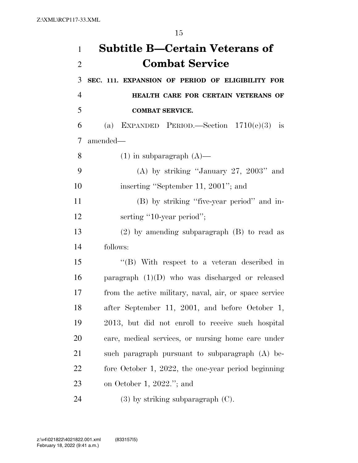| $\mathbf{1}$   | <b>Subtitle B—Certain Veterans of</b>                  |
|----------------|--------------------------------------------------------|
| $\overline{2}$ | <b>Combat Service</b>                                  |
| 3              | SEC. 111. EXPANSION OF PERIOD OF ELIGIBILITY FOR       |
| $\overline{4}$ | HEALTH CARE FOR CERTAIN VETERANS OF                    |
| 5              | <b>COMBAT SERVICE.</b>                                 |
| 6              | (a) EXPANDED PERIOD.—Section $1710(e)(3)$ is           |
| 7              | amended-                                               |
| 8              | $(1)$ in subparagraph $(A)$ —                          |
| 9              | (A) by striking "January 27, 2003" and                 |
| 10             | inserting "September 11, 2001"; and                    |
| 11             | (B) by striking "five-year period" and in-             |
| 12             | serting "10-year period";                              |
| 13             | $(2)$ by amending subparagraph $(B)$ to read as        |
| 14             | follows:                                               |
| 15             | "(B) With respect to a veteran described in            |
| 16             | paragraph $(1)(D)$ who was discharged or released      |
| 17             | from the active military, naval, air, or space service |
| 18             | after September 11, 2001, and before October 1,        |
| 19             | 2013, but did not enroll to receive such hospital      |
| 20             | care, medical services, or nursing home care under     |
| 21             | such paragraph pursuant to subparagraph (A) be-        |
| 22             | fore October 1, 2022, the one-year period beginning    |
| 23             | on October 1, $2022$ ."; and                           |
| 24             | $(3)$ by striking subparagraph $(C)$ .                 |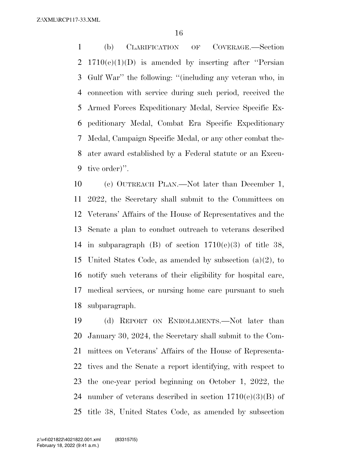(b) CLARIFICATION OF COVERAGE.—Section 2 1710(e)(1)(D) is amended by inserting after "Persian Gulf War'' the following: ''(including any veteran who, in connection with service during such period, received the Armed Forces Expeditionary Medal, Service Specific Ex- peditionary Medal, Combat Era Specific Expeditionary Medal, Campaign Specific Medal, or any other combat the- ater award established by a Federal statute or an Execu-tive order)''.

 (c) OUTREACH PLAN.—Not later than December 1, 2022, the Secretary shall submit to the Committees on Veterans' Affairs of the House of Representatives and the Senate a plan to conduct outreach to veterans described 14 in subparagraph  $(B)$  of section  $1710(e)(3)$  of title 38, United States Code, as amended by subsection (a)(2), to notify such veterans of their eligibility for hospital care, medical services, or nursing home care pursuant to such subparagraph.

 (d) REPORT ON ENROLLMENTS.—Not later than January 30, 2024, the Secretary shall submit to the Com- mittees on Veterans' Affairs of the House of Representa- tives and the Senate a report identifying, with respect to the one-year period beginning on October 1, 2022, the 24 number of veterans described in section  $1710(e)(3)(B)$  of title 38, United States Code, as amended by subsection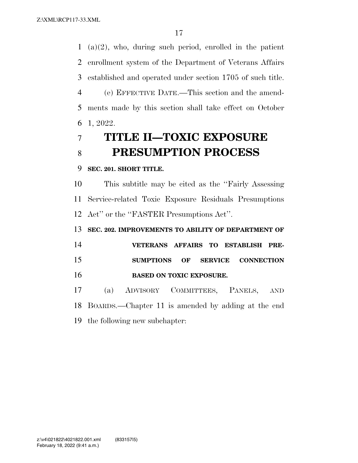(a)(2), who, during such period, enrolled in the patient enrollment system of the Department of Veterans Affairs established and operated under section 1705 of such title. (e) EFFECTIVE DATE.—This section and the amend-

 ments made by this section shall take effect on October 1, 2022.

# **TITLE II—TOXIC EXPOSURE PRESUMPTION PROCESS**

## **SEC. 201. SHORT TITLE.**

 This subtitle may be cited as the ''Fairly Assessing Service-related Toxic Exposure Residuals Presumptions Act'' or the ''FASTER Presumptions Act''.

**SEC. 202. IMPROVEMENTS TO ABILITY OF DEPARTMENT OF** 

 **VETERANS AFFAIRS TO ESTABLISH PRE- SUMPTIONS OF SERVICE CONNECTION BASED ON TOXIC EXPOSURE.** 

 (a) ADVISORY COMMITTEES, PANELS, AND BOARDS.—Chapter 11 is amended by adding at the end the following new subchapter: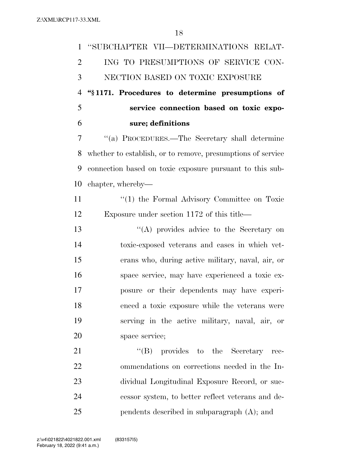| $\mathbf{1}$   | "SUBCHAPTER VII—DETERMINATIONS RELAT-                       |
|----------------|-------------------------------------------------------------|
| $\overline{2}$ | ING TO PRESUMPTIONS OF SERVICE CON-                         |
| 3              | NECTION BASED ON TOXIC EXPOSURE                             |
| $\overline{4}$ | "§1171. Procedures to determine presumptions of             |
| 5              | service connection based on toxic expo-                     |
| 6              | sure; definitions                                           |
| $\overline{7}$ | "(a) PROCEDURES.—The Secretary shall determine              |
| 8              | whether to establish, or to remove, presumptions of service |
| 9              | connection based on toxic exposure pursuant to this sub-    |
| 10             | chapter, whereby—                                           |
| 11             | $\lq(1)$ the Formal Advisory Committee on Toxic             |
| 12             | Exposure under section 1172 of this title—                  |
| 13             | $\lq\lq$ provides advice to the Secretary on                |
| 14             | toxic-exposed veterans and cases in which vet-              |
| 15             | erans who, during active military, naval, air, or           |
| 16             | space service, may have experienced a toxic ex-             |
| 17             | posure or their dependents may have experi-                 |
| 18             | enced a toxic exposure while the veterans were              |
| 19             | serving in the active military, naval, air, or              |
| 20             | space service;                                              |
| 21             | "(B) provides to the Secretary rec-                         |
| 22             | ommendations on corrections needed in the In-               |
| 23             | dividual Longitudinal Exposure Record, or suc-              |
| 24             | cessor system, to better reflect veterans and de-           |
| 25             | pendents described in subparagraph (A); and                 |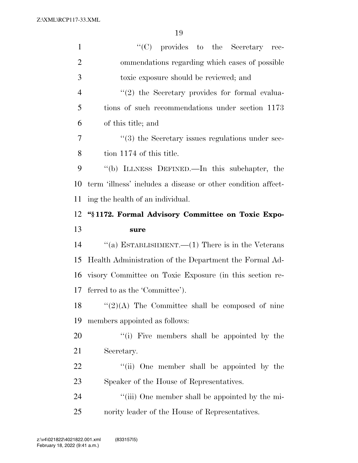| $\mathbf{1}$   | $\lq\lq$ (C) provides to the Secretary<br>rec-               |
|----------------|--------------------------------------------------------------|
| $\overline{2}$ | ommendations regarding which cases of possible               |
| 3              | toxic exposure should be reviewed; and                       |
| $\overline{4}$ | $\lq(2)$ the Secretary provides for formal evalua-           |
| 5              | tions of such recommendations under section 1173             |
| 6              | of this title; and                                           |
| 7              | $\cdot\cdot$ (3) the Secretary issues regulations under sec- |
| 8              | tion 1174 of this title.                                     |
| 9              | "(b) ILLNESS DEFINED.—In this subchapter, the                |
| 10             | term 'illness' includes a disease or other condition affect- |
| 11             | ing the health of an individual.                             |
| 12             | "§1172. Formal Advisory Committee on Toxic Expo-             |
|                |                                                              |
| 13             | sure                                                         |
| 14             | "(a) ESTABLISHMENT.— $(1)$ There is in the Veterans          |
| 15             | Health Administration of the Department the Formal Ad-       |
| 16             | visory Committee on Toxic Exposure (in this section re-      |
| 17             | ferred to as the 'Committee').                               |
| 18             | $``(2)(A)$ The Committee shall be composed of nine           |
| 19             | members appointed as follows:                                |
| 20             | "(i) Five members shall be appointed by the                  |
| 21             | Secretary.                                                   |
| 22             | "(ii) One member shall be appointed by the                   |
| 23             | Speaker of the House of Representatives.                     |
| 24             | "(iii) One member shall be appointed by the mi-              |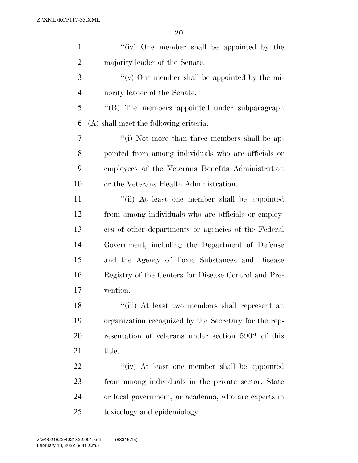| $\mathbf{1}$   | "(iv) One member shall be appointed by the            |
|----------------|-------------------------------------------------------|
| $\overline{2}$ | majority leader of the Senate.                        |
| 3              | "(v) One member shall be appointed by the mi-         |
| $\overline{4}$ | nority leader of the Senate.                          |
| 5              | "(B) The members appointed under subparagraph         |
| 6              | (A) shall meet the following criteria:                |
| $\overline{7}$ | "(i) Not more than three members shall be ap-         |
| 8              | pointed from among individuals who are officials or   |
| 9              | employees of the Veterans Benefits Administration     |
| 10             | or the Veterans Health Administration.                |
| 11             | "(ii) At least one member shall be appointed          |
| 12             | from among individuals who are officials or employ-   |
| 13             | ees of other departments or agencies of the Federal   |
| 14             | Government, including the Department of Defense       |
| 15             | and the Agency of Toxic Substances and Disease        |
| 16             | Registry of the Centers for Disease Control and Pre-  |
| 17             | vention.                                              |
| 18             | "(iii) At least two members shall represent an        |
| 19             | organization recognized by the Secretary for the rep- |
| 20             | resentation of veterans under section 5902 of this    |
| 21             | title.                                                |
| 22             | "(iv) At least one member shall be appointed          |
| 23             | from among individuals in the private sector, State   |
| 24             | or local government, or academia, who are experts in  |
| 25             | toxicology and epidemiology.                          |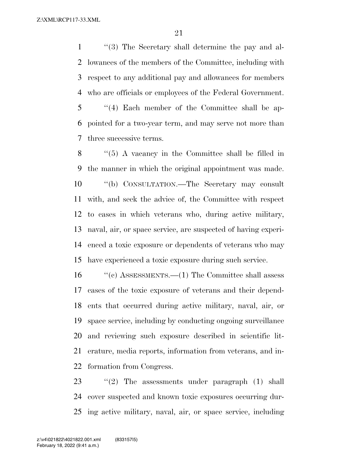''(3) The Secretary shall determine the pay and al- lowances of the members of the Committee, including with respect to any additional pay and allowances for members who are officials or employees of the Federal Government. ''(4) Each member of the Committee shall be ap- pointed for a two-year term, and may serve not more than three successive terms.

 ''(5) A vacancy in the Committee shall be filled in the manner in which the original appointment was made. ''(b) CONSULTATION.—The Secretary may consult with, and seek the advice of, the Committee with respect to cases in which veterans who, during active military, naval, air, or space service, are suspected of having experi- enced a toxic exposure or dependents of veterans who may have experienced a toxic exposure during such service.

 ''(c) ASSESSMENTS.—(1) The Committee shall assess cases of the toxic exposure of veterans and their depend- ents that occurred during active military, naval, air, or space service, including by conducting ongoing surveillance and reviewing such exposure described in scientific lit- erature, media reports, information from veterans, and in-formation from Congress.

23  $\frac{1}{2}$  The assessments under paragraph (1) shall cover suspected and known toxic exposures occurring dur-ing active military, naval, air, or space service, including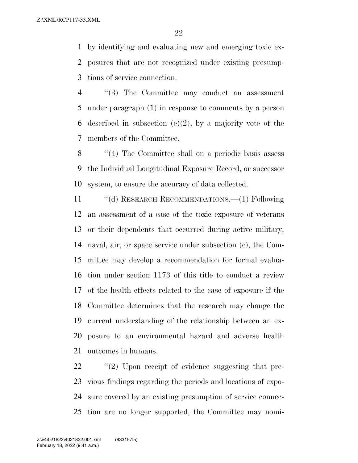by identifying and evaluating new and emerging toxic ex- posures that are not recognized under existing presump-tions of service connection.

 ''(3) The Committee may conduct an assessment under paragraph (1) in response to comments by a person 6 described in subsection (e)(2), by a majority vote of the members of the Committee.

 ''(4) The Committee shall on a periodic basis assess the Individual Longitudinal Exposure Record, or successor system, to ensure the accuracy of data collected.

 ''(d) RESEARCH RECOMMENDATIONS.—(1) Following an assessment of a case of the toxic exposure of veterans or their dependents that occurred during active military, naval, air, or space service under subsection (c), the Com- mittee may develop a recommendation for formal evalua- tion under section 1173 of this title to conduct a review of the health effects related to the case of exposure if the Committee determines that the research may change the current understanding of the relationship between an ex- posure to an environmental hazard and adverse health outcomes in humans.

 $\frac{1}{2}$  (2) Upon receipt of evidence suggesting that pre- vious findings regarding the periods and locations of expo- sure covered by an existing presumption of service connec-tion are no longer supported, the Committee may nomi-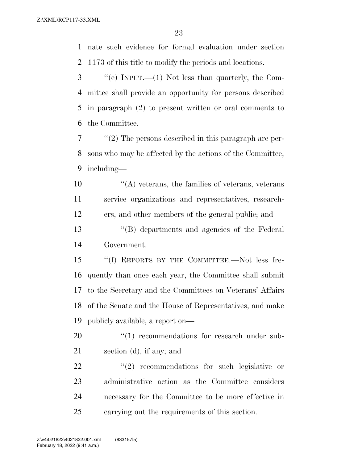nate such evidence for formal evaluation under section 1173 of this title to modify the periods and locations.

 ''(e) INPUT.—(1) Not less than quarterly, the Com- mittee shall provide an opportunity for persons described in paragraph (2) to present written or oral comments to the Committee.

 ''(2) The persons described in this paragraph are per- sons who may be affected by the actions of the Committee, including—

 $\mathcal{L}(\mathbf{A})$  veterans, the families of veterans, veterans service organizations and representatives, research-ers, and other members of the general public; and

 ''(B) departments and agencies of the Federal Government.

 ''(f) REPORTS BY THE COMMITTEE.—Not less fre- quently than once each year, the Committee shall submit to the Secretary and the Committees on Veterans' Affairs of the Senate and the House of Representatives, and make publicly available, a report on—

20  $\frac{u(1)}{1}$  recommendations for research under sub-section (d), if any; and

  $(2)$  recommendations for such legislative or administrative action as the Committee considers necessary for the Committee to be more effective in carrying out the requirements of this section.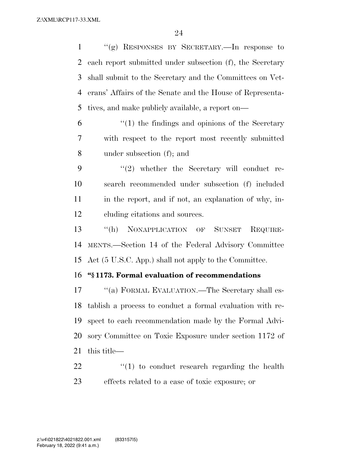''(g) RESPONSES BY SECRETARY.—In response to each report submitted under subsection (f), the Secretary shall submit to the Secretary and the Committees on Vet- erans' Affairs of the Senate and the House of Representa-tives, and make publicly available, a report on—

 ''(1) the findings and opinions of the Secretary with respect to the report most recently submitted under subsection (f); and

 $\frac{1}{2}$  whether the Secretary will conduct re- search recommended under subsection (f) included 11 in the report, and if not, an explanation of why, in-cluding citations and sources.

 ''(h) NONAPPLICATION OF SUNSET REQUIRE- MENTS.—Section 14 of the Federal Advisory Committee Act (5 U.S.C. App.) shall not apply to the Committee.

### **''§ 1173. Formal evaluation of recommendations**

17 "(a) FORMAL EVALUATION.—The Secretary shall es- tablish a process to conduct a formal evaluation with re- spect to each recommendation made by the Formal Advi- sory Committee on Toxic Exposure under section 1172 of this title—

  $\qquad$   $\qquad$   $\qquad$   $\qquad$   $\qquad$   $\qquad$   $\qquad$   $\qquad$   $\qquad$   $\qquad$   $\qquad$   $\qquad$   $\qquad$   $\qquad$   $\qquad$   $\qquad$   $\qquad$   $\qquad$   $\qquad$   $\qquad$   $\qquad$   $\qquad$   $\qquad$   $\qquad$   $\qquad$   $\qquad$   $\qquad$   $\qquad$   $\qquad$   $\qquad$   $\qquad$   $\qquad$   $\qquad$   $\qquad$   $\qquad$   $\qquad$  effects related to a case of toxic exposure; or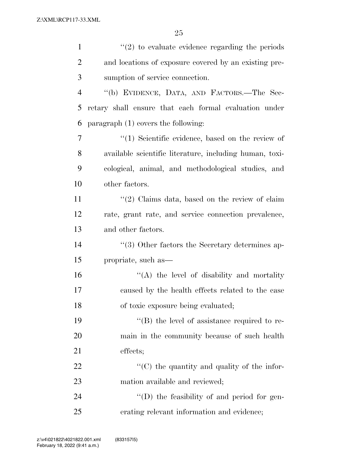| $\mathbf{1}$   | $\lq(2)$ to evaluate evidence regarding the periods     |
|----------------|---------------------------------------------------------|
| $\overline{2}$ | and locations of exposure covered by an existing pre-   |
| 3              | sumption of service connection.                         |
| $\overline{4}$ | "(b) EVIDENCE, DATA, AND FACTORS.—The Sec-              |
| 5              | retary shall ensure that each formal evaluation under   |
| 6              | paragraph $(1)$ covers the following:                   |
| 7              | $\lq(1)$ Scientific evidence, based on the review of    |
| 8              | available scientific literature, including human, toxi- |
| 9              | cological, animal, and methodological studies, and      |
| 10             | other factors.                                          |
| 11             | $\lq(2)$ Claims data, based on the review of claim      |
| 12             | rate, grant rate, and service connection prevalence,    |
| 13             | and other factors.                                      |
| 14             | $\lq(3)$ Other factors the Secretary determines ap-     |
| 15             | propriate, such as—                                     |
| 16             | $\lq\lq$ the level of disability and mortality          |
| 17             | caused by the health effects related to the case        |
| 18             | of toxic exposure being evaluated;                      |
| 19             | $\lq\lq (B)$ the level of assistance required to re-    |
| 20             | main in the community because of such health            |
| 21             | effects;                                                |
| 22             | "(C) the quantity and quality of the infor-             |
| 23             | mation available and reviewed;                          |
| 24             | $\lq\lq$ the feasibility of and period for gen-         |
| 25             | erating relevant information and evidence;              |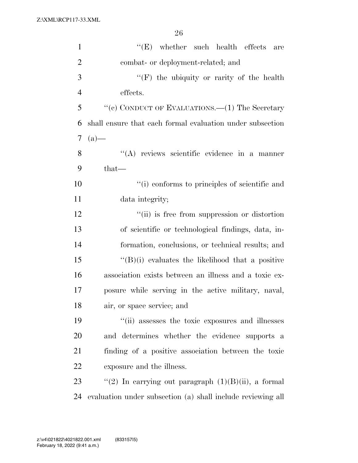| $\mathbf{1}$   | $\lq\lq(E)$ whether such health effects<br>are              |
|----------------|-------------------------------------------------------------|
| $\overline{2}$ | combat- or deployment-related; and                          |
| 3              | "(F) the ubiquity or rarity of the health                   |
| $\overline{4}$ | effects.                                                    |
| 5              | "(c) CONDUCT OF EVALUATIONS.— $(1)$ The Secretary           |
| 6              | shall ensure that each formal evaluation under subsection   |
| 7              | $(a)$ —                                                     |
| 8              | $\lq\lq$ reviews scientific evidence in a manner            |
| 9              | $that$ —                                                    |
| 10             | "(i) conforms to principles of scientific and               |
| 11             | data integrity;                                             |
| 12             | "(ii) is free from suppression or distortion                |
| 13             | of scientific or technological findings, data, in-          |
| 14             | formation, conclusions, or technical results; and           |
| 15             | $\lq\lq(B)(i)$ evaluates the likelihood that a positive     |
| 16             | association exists between an illness and a toxic ex-       |
| 17             | posure while serving in the active military, naval,         |
| 18             | air, or space service; and                                  |
| 19             | "(ii) assesses the toxic exposures and illnesses            |
| 20             | and determines whether the evidence supports a              |
| 21             | finding of a positive association between the toxic         |
| 22             | exposure and the illness.                                   |
| 23             | "(2) In carrying out paragraph $(1)(B)(ii)$ , a formal      |
| 24             | evaluation under subsection (a) shall include reviewing all |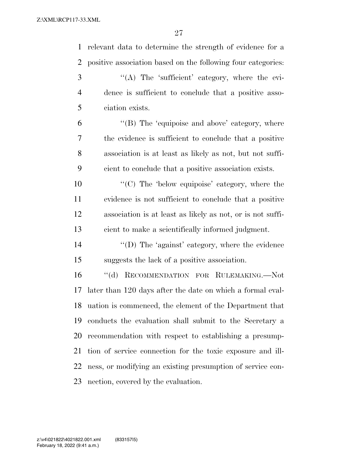relevant data to determine the strength of evidence for a positive association based on the following four categories: 3 "(A) The 'sufficient' category, where the evi- dence is sufficient to conclude that a positive asso- ciation exists. 6 "(B) The 'equipoise and above' category, where the evidence is sufficient to conclude that a positive association is at least as likely as not, but not suffi- cient to conclude that a positive association exists.  $\langle ^{\prime}(C) \rangle$  The 'below equipoise' category, where the evidence is not sufficient to conclude that a positive association is at least as likely as not, or is not suffi-

cient to make a scientifically informed judgment.

 ''(D) The 'against' category, where the evidence suggests the lack of a positive association.

 ''(d) RECOMMENDATION FOR RULEMAKING.—Not later than 120 days after the date on which a formal eval- uation is commenced, the element of the Department that conducts the evaluation shall submit to the Secretary a recommendation with respect to establishing a presump- tion of service connection for the toxic exposure and ill- ness, or modifying an existing presumption of service con-nection, covered by the evaluation.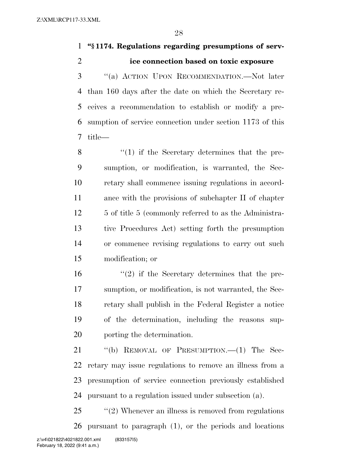**''§ 1174. Regulations regarding presumptions of serv-ice connection based on toxic exposure** 

 ''(a) ACTION UPON RECOMMENDATION.—Not later than 160 days after the date on which the Secretary re- ceives a recommendation to establish or modify a pre- sumption of service connection under section 1173 of this title—

8 ''(1) if the Secretary determines that the pre- sumption, or modification, is warranted, the Sec- retary shall commence issuing regulations in accord- ance with the provisions of subchapter II of chapter 12 5 of title 5 (commonly referred to as the Administra- tive Procedures Act) setting forth the presumption or commence revising regulations to carry out such modification; or

 $\frac{16}{2}$  if the Secretary determines that the pre- sumption, or modification, is not warranted, the Sec- retary shall publish in the Federal Register a notice of the determination, including the reasons sup-porting the determination.

21 "(b) REMOVAL OF PRESUMPTION.—(1) The Sec- retary may issue regulations to remove an illness from a presumption of service connection previously established pursuant to a regulation issued under subsection (a).

25 "(2) Whenever an illness is removed from regulations pursuant to paragraph (1), or the periods and locations z:\v4\021822\4021822.001.xml (833157|5)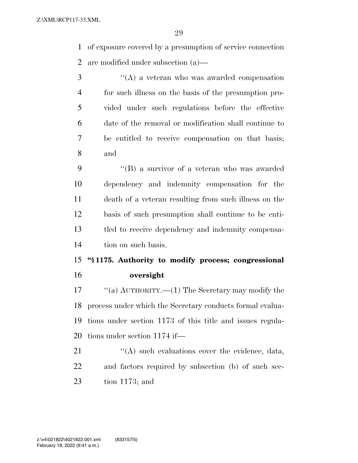of exposure covered by a presumption of service connection are modified under subsection (a)—

 ''(A) a veteran who was awarded compensation for such illness on the basis of the presumption pro- vided under such regulations before the effective date of the removal or modification shall continue to be entitled to receive compensation on that basis; and

 ''(B) a survivor of a veteran who was awarded dependency and indemnity compensation for the death of a veteran resulting from such illness on the basis of such presumption shall continue to be enti- tled to receive dependency and indemnity compensa-tion on such basis.

## **''§ 1175. Authority to modify process; congressional oversight**

 ''(a) AUTHORITY.—(1) The Secretary may modify the process under which the Secretary conducts formal evalua- tions under section 1173 of this title and issues regula-tions under section 1174 if—

21 ''(A) such evaluations cover the evidence, data, and factors required by subsection (b) of such sec-tion 1173; and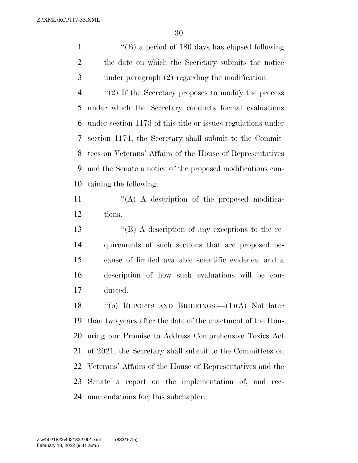''(B) a period of 180 days has elapsed following the date on which the Secretary submits the notice under paragraph (2) regarding the modification.

 ''(2) If the Secretary proposes to modify the process under which the Secretary conducts formal evaluations under section 1173 of this title or issues regulations under section 1174, the Secretary shall submit to the Commit- tees on Veterans' Affairs of the House of Representatives and the Senate a notice of the proposed modifications con-taining the following:

 $'$ (A) A description of the proposed modifica-tions.

 ''(B) A description of any exceptions to the re- quirements of such sections that are proposed be- cause of limited available scientific evidence, and a description of how such evaluations will be con-ducted.

 ''(b) REPORTS AND BRIEFINGS.—(1)(A) Not later than two years after the date of the enactment of the Hon- oring our Promise to Address Comprehensive Toxics Act of 2021, the Secretary shall submit to the Committees on Veterans' Affairs of the House of Representatives and the Senate a report on the implementation of, and rec-ommendations for, this subchapter.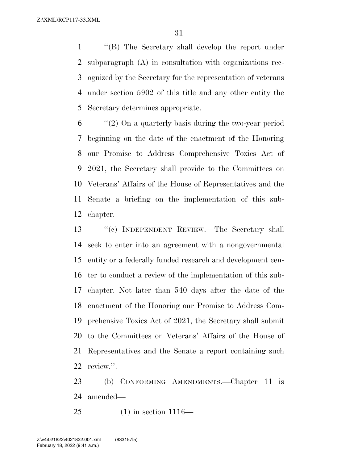''(B) The Secretary shall develop the report under subparagraph (A) in consultation with organizations rec- ognized by the Secretary for the representation of veterans under section 5902 of this title and any other entity the Secretary determines appropriate.

 "(2) On a quarterly basis during the two-year period beginning on the date of the enactment of the Honoring our Promise to Address Comprehensive Toxics Act of 2021, the Secretary shall provide to the Committees on Veterans' Affairs of the House of Representatives and the Senate a briefing on the implementation of this sub-chapter.

 ''(c) INDEPENDENT REVIEW.—The Secretary shall seek to enter into an agreement with a nongovernmental entity or a federally funded research and development cen- ter to conduct a review of the implementation of this sub- chapter. Not later than 540 days after the date of the enactment of the Honoring our Promise to Address Com- prehensive Toxics Act of 2021, the Secretary shall submit to the Committees on Veterans' Affairs of the House of Representatives and the Senate a report containing such review.''.

 (b) CONFORMING AMENDMENTS.—Chapter 11 is amended—

(1) in section 1116—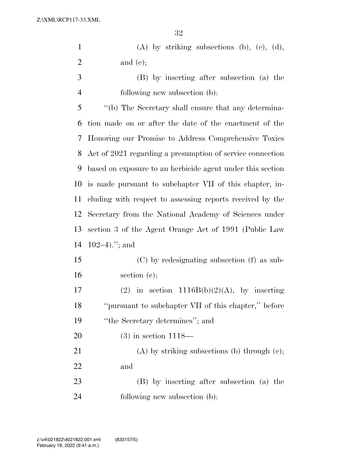|                | ບ∠                                                         |
|----------------|------------------------------------------------------------|
| $\mathbf{1}$   | $(A)$ by striking subsections $(b)$ , $(c)$ , $(d)$ ,      |
| $\overline{2}$ | and $(e)$ ;                                                |
| 3              | (B) by inserting after subsection (a) the                  |
| $\overline{4}$ | following new subsection (b):                              |
| 5              | "(b) The Secretary shall ensure that any determina-        |
| 6              | tion made on or after the date of the enactment of the     |
| 7              | Honoring our Promise to Address Comprehensive Toxics       |
| 8              | Act of 2021 regarding a presumption of service connection  |
| 9              | based on exposure to an herbicide agent under this section |
| 10             | is made pursuant to subchapter VII of this chapter, in-    |
| 11             | cluding with respect to assessing reports received by the  |
| 12             | Secretary from the National Academy of Sciences under      |
| 13             | section 3 of the Agent Orange Act of 1991 (Public Law      |
| 14             | $102-4$ )."; and                                           |
| 15             | (C) by redesignating subsection (f) as sub-                |
| 16             | section $(e)$ ;                                            |
| 17             | (2) in section $1116B(b)(2)(A)$ , by inserting             |
| 18             | "pursuant to subchapter VII of this chapter," before       |
| 19             | "the Secretary determines"; and                            |
| <b>20</b>      | $(3)$ in section 1118—                                     |
| 21             | $(A)$ by striking subsections (b) through (e);             |
| 22             | and                                                        |
| 23             | (B) by inserting after subsection (a) the                  |
| 24             | following new subsection (b):                              |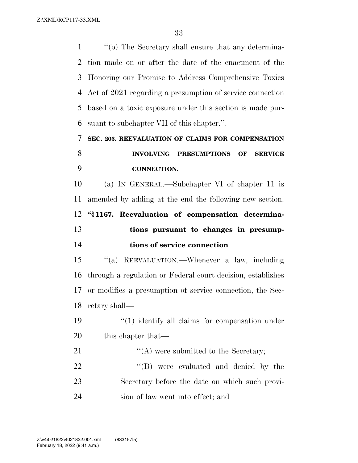''(b) The Secretary shall ensure that any determina- tion made on or after the date of the enactment of the Honoring our Promise to Address Comprehensive Toxics Act of 2021 regarding a presumption of service connection based on a toxic exposure under this section is made pur- suant to subchapter VII of this chapter.''. **SEC. 203. REEVALUATION OF CLAIMS FOR COMPENSATION INVOLVING PRESUMPTIONS OF SERVICE CONNECTION.**  (a) IN GENERAL.—Subchapter VI of chapter 11 is amended by adding at the end the following new section: **''§ 1167. Reevaluation of compensation determina- tions pursuant to changes in presump- tions of service connection**  ''(a) REEVALUATION.—Whenever a law, including through a regulation or Federal court decision, establishes or modifies a presumption of service connection, the Sec- retary shall—  $\frac{1}{2}$  (1) identify all claims for compensation under 20 this chapter that— 21 ''(A) were submitted to the Secretary;

22  $\text{``(B)}$  were evaluated and denied by the Secretary before the date on which such provi-sion of law went into effect; and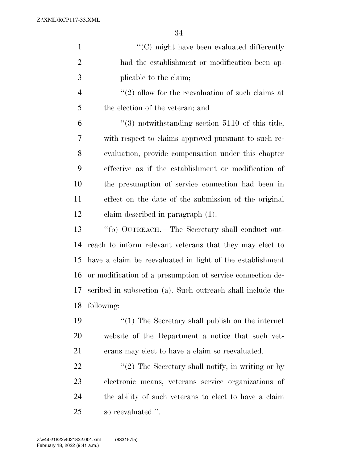| $\mathbf{1}$   | $\cdot$ (C) might have been evaluated differently                |
|----------------|------------------------------------------------------------------|
| $\overline{2}$ | had the establishment or modification been ap-                   |
| 3              | plicable to the claim;                                           |
| $\overline{4}$ | $\lq(2)$ allow for the reevaluation of such claims at            |
| 5              | the election of the veteran; and                                 |
| 6              | $\cdot\cdot\cdot(3)$ notwithstanding section 5110 of this title, |
| 7              | with respect to claims approved pursuant to such re-             |
| 8              | evaluation, provide compensation under this chapter              |
| 9              | effective as if the establishment or modification of             |
| 10             | the presumption of service connection had been in                |
| 11             | effect on the date of the submission of the original             |
| 12             | claim described in paragraph (1).                                |
| 13             | "(b) OUTREACH.—The Secretary shall conduct out-                  |
| 14             | reach to inform relevant veterans that they may elect to         |
| 15             | have a claim be reevaluated in light of the establishment        |
| 16             | or modification of a presumption of service connection de-       |
| 17             | scribed in subsection (a). Such outreach shall include the       |
| 18             | following:                                                       |
| 19             | $"(1)$ The Secretary shall publish on the internet               |
| 20             | website of the Department a notice that such vet-                |
| 21             | erans may elect to have a claim so reevaluated.                  |
| 22             | $"(2)$ The Secretary shall notify, in writing or by              |
| 23             | electronic means, veterans service organizations of              |
| 24             | the ability of such veterans to elect to have a claim            |
| 25             | so reevaluated.".                                                |

February 18, 2022 (9:41 a.m.) z:\v4\021822\4021822.001.xml (833157|5)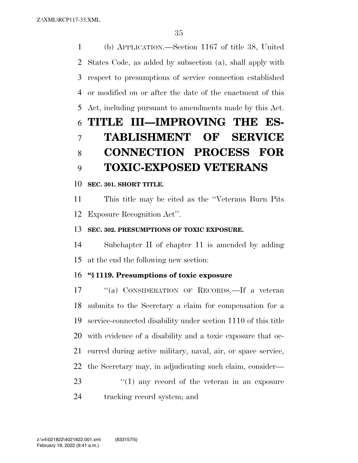(b) APPLICATION.—Section 1167 of title 38, United States Code, as added by subsection (a), shall apply with respect to presumptions of service connection established or modified on or after the date of the enactment of this Act, including pursuant to amendments made by this Act. **TITLE III—IMPROVING THE ES- TABLISHMENT OF SERVICE CONNECTION PROCESS FOR TOXIC-EXPOSED VETERANS** 

### **SEC. 301. SHORT TITLE.**

 This title may be cited as the ''Veterans Burn Pits Exposure Recognition Act''.

## **SEC. 302. PRESUMPTIONS OF TOXIC EXPOSURE.**

 Subchapter II of chapter 11 is amended by adding at the end the following new section:

## **''§ 1119. Presumptions of toxic exposure**

 ''(a) CONSIDERATION OF RECORDS.—If a veteran submits to the Secretary a claim for compensation for a service-connected disability under section 1110 of this title with evidence of a disability and a toxic exposure that oc- curred during active military, naval, air, or space service, the Secretary may, in adjudicating such claim, consider— 23 ''(1) any record of the veteran in an exposure

tracking record system; and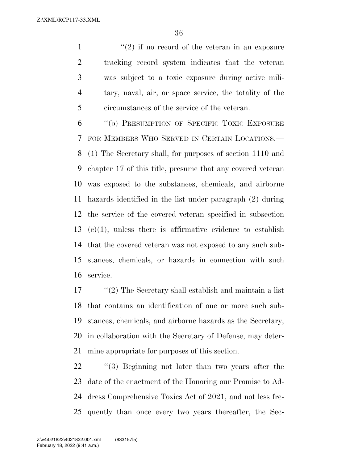$(2)$  if no record of the veteran in an exposure tracking record system indicates that the veteran was subject to a toxic exposure during active mili- tary, naval, air, or space service, the totality of the circumstances of the service of the veteran.

 ''(b) PRESUMPTION OF SPECIFIC TOXIC EXPOSURE FOR MEMBERS WHO SERVED IN CERTAIN LOCATIONS.— (1) The Secretary shall, for purposes of section 1110 and chapter 17 of this title, presume that any covered veteran was exposed to the substances, chemicals, and airborne hazards identified in the list under paragraph (2) during the service of the covered veteran specified in subsection  $(c)(1)$ , unless there is affirmative evidence to establish that the covered veteran was not exposed to any such sub- stances, chemicals, or hazards in connection with such service.

 ''(2) The Secretary shall establish and maintain a list that contains an identification of one or more such sub- stances, chemicals, and airborne hazards as the Secretary, in collaboration with the Secretary of Defense, may deter-mine appropriate for purposes of this section.

22 ''(3) Beginning not later than two years after the date of the enactment of the Honoring our Promise to Ad- dress Comprehensive Toxics Act of 2021, and not less fre-quently than once every two years thereafter, the Sec-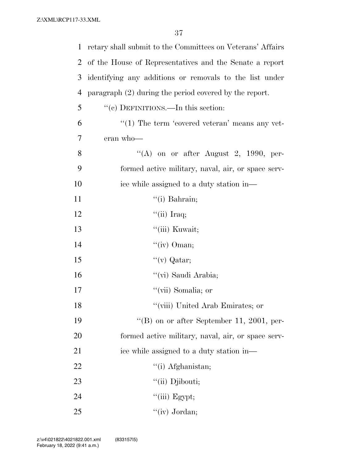| 1              | retary shall submit to the Committees on Veterans' Affairs |
|----------------|------------------------------------------------------------|
| $\overline{2}$ | of the House of Representatives and the Senate a report    |
| 3              | identifying any additions or removals to the list under    |
| $\overline{4}$ | paragraph $(2)$ during the period covered by the report.   |
| 5              | "(c) DEFINITIONS.—In this section:                         |
| 6              | $"(1)$ The term 'covered veteran' means any vet-           |
| 7              | eran who-                                                  |
| 8              | "(A) on or after August 2, 1990, per-                      |
| 9              | formed active military, naval, air, or space serv-         |
| 10             | ice while assigned to a duty station in—                   |
| 11             | $\lq\lq$ (i) Bahrain;                                      |
| 12             | "(ii) Iraq;                                                |
| 13             | "(iii) Kuwait;                                             |
| 14             | " $(iv)$ Oman;                                             |
| 15             | "(v) Qatar;                                                |
| 16             | "(vi) Saudi Arabia;                                        |
| 17             | "(vii) Somalia; or                                         |
| 18             | "(viii) United Arab Emirates; or                           |
| 19             | "(B) on or after September 11, 2001, per-                  |
| 20             | formed active military, naval, air, or space serv-         |
| 21             | ice while assigned to a duty station in—                   |
| 22             | "(i) Afghanistan;                                          |
| 23             | "(ii) Djibouti;                                            |
| 24             | $``$ (iii) Egypt;                                          |
| 25             | "(iv) Jordan;                                              |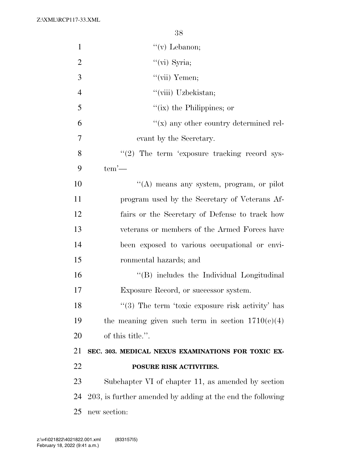Z:\XML\RCP117-33.XML

| $\mathbf{1}$   | "(v) Lebanon;                                              |
|----------------|------------------------------------------------------------|
| $\overline{2}$ | " $(vi)$ Syria;                                            |
| 3              | "(vii) Yemen;                                              |
| $\overline{4}$ | "(viii) Uzbekistan;                                        |
| 5              | "(ix) the Philippines; or                                  |
| 6              | $f'(x)$ any other country determined rel-                  |
| $\overline{7}$ | evant by the Secretary.                                    |
| 8              | $\lq(2)$ The term 'exposure tracking record sys-           |
| 9              | $tem'$ —                                                   |
| 10             | "(A) means any system, program, or pilot                   |
| 11             | program used by the Secretary of Veterans Af-              |
| 12             | fairs or the Secretary of Defense to track how             |
| 13             | veterans or members of the Armed Forces have               |
| 14             | been exposed to various occupational or envi-              |
| 15             | ronmental hazards; and                                     |
| 16             | "(B) includes the Individual Longitudinal                  |
| 17             | Exposure Record, or successor system.                      |
| 18             | $(3)$ The term 'toxic exposure risk activity' has          |
| 19             | the meaning given such term in section $1710(e)(4)$        |
| 20             | of this title.".                                           |
| 21             | SEC. 303. MEDICAL NEXUS EXAMINATIONS FOR TOXIC EX-         |
| 22             | POSURE RISK ACTIVITIES.                                    |
| 23             | Subchapter VI of chapter 11, as amended by section         |
| 24             | 203, is further amended by adding at the end the following |
| 25             | new section:                                               |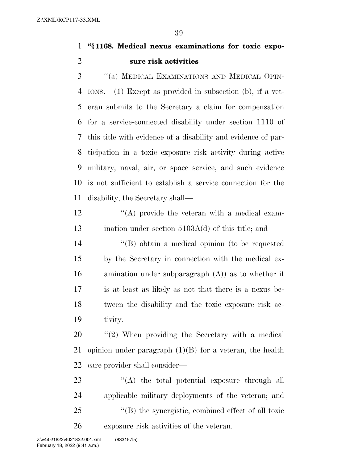### **''§ 1168. Medical nexus examinations for toxic expo-sure risk activities**

 ''(a) MEDICAL EXAMINATIONS AND MEDICAL OPIN- IONS.—(1) Except as provided in subsection (b), if a vet- eran submits to the Secretary a claim for compensation for a service-connected disability under section 1110 of this title with evidence of a disability and evidence of par- ticipation in a toxic exposure risk activity during active military, naval, air, or space service, and such evidence is not sufficient to establish a service connection for the disability, the Secretary shall—

 $'$ (A) provide the veteran with a medical exam-13 ination under section 5103A(d) of this title; and

 ''(B) obtain a medical opinion (to be requested by the Secretary in connection with the medical ex- amination under subparagraph (A)) as to whether it is at least as likely as not that there is a nexus be- tween the disability and the toxic exposure risk ac-tivity.

20  $\frac{1}{2}$  (2) When providing the Secretary with a medical 21 opinion under paragraph  $(1)(B)$  for a veteran, the health care provider shall consider—

 $\langle A \rangle$  the total potential exposure through all applicable military deployments of the veteran; and ''(B) the synergistic, combined effect of all toxic exposure risk activities of the veteran.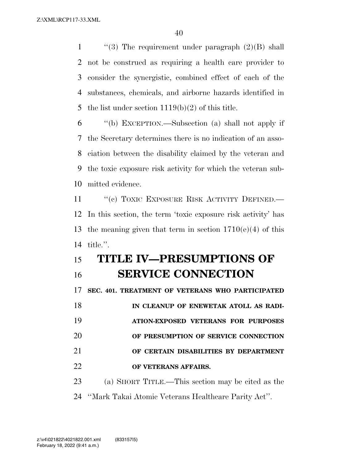$\qquad$  ''(3) The requirement under paragraph (2)(B) shall not be construed as requiring a health care provider to consider the synergistic, combined effect of each of the substances, chemicals, and airborne hazards identified in the list under section 1119(b)(2) of this title.

 ''(b) EXCEPTION.—Subsection (a) shall not apply if the Secretary determines there is no indication of an asso- ciation between the disability claimed by the veteran and the toxic exposure risk activity for which the veteran sub-mitted evidence.

11 "(c) TOXIC EXPOSURE RISK ACTIVITY DEFINED.— In this section, the term 'toxic exposure risk activity' has 13 the meaning given that term in section  $1710(e)(4)$  of this title.''.

# **TITLE IV—PRESUMPTIONS OF SERVICE CONNECTION**

**SEC. 401. TREATMENT OF VETERANS WHO PARTICIPATED** 

**IN CLEANUP OF ENEWETAK ATOLL AS RADI- ATION-EXPOSED VETERANS FOR PURPOSES OF PRESUMPTION OF SERVICE CONNECTION** 

**OF CERTAIN DISABILITIES BY DEPARTMENT** 

### **OF VETERANS AFFAIRS.**

(a) SHORT TITLE.—This section may be cited as the

''Mark Takai Atomic Veterans Healthcare Parity Act''.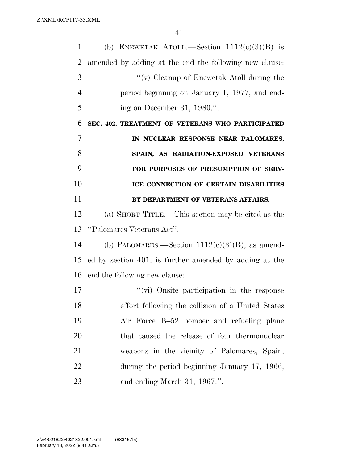| 1              | (b) ENEWETAK ATOLL.—Section $1112(c)(3)(B)$ is         |
|----------------|--------------------------------------------------------|
| $\overline{2}$ | amended by adding at the end the following new clause: |
| 3              | "(v) Cleanup of Enewetak Atoll during the              |
| $\overline{4}$ | period beginning on January 1, 1977, and end-          |
| 5              | ing on December 31, 1980.".                            |
| 6              | SEC. 402. TREATMENT OF VETERANS WHO PARTICIPATED       |
| $\overline{7}$ | IN NUCLEAR RESPONSE NEAR PALOMARES,                    |
| 8              | SPAIN, AS RADIATION-EXPOSED VETERANS                   |
| 9              | FOR PURPOSES OF PRESUMPTION OF SERV-                   |
| 10             | ICE CONNECTION OF CERTAIN DISABILITIES                 |
| 11             | BY DEPARTMENT OF VETERANS AFFAIRS.                     |
| 12             | (a) SHORT TITLE.—This section may be cited as the      |
| 13             | "Palomares Veterans Act".                              |
| 14             | (b) PALOMARES.—Section $1112(c)(3)(B)$ , as amend-     |
| 15             | ed by section 401, is further amended by adding at the |
| 16             | end the following new clause:                          |
| 17             | $\lq\lq$ (vi) Onsite participation in the response     |
| 18             | effort following the collision of a United States      |
| 19             | Air Force B-52 bomber and refueling plane              |
| 20             | that caused the release of four thermonuclear          |
| 21             | weapons in the vicinity of Palomares, Spain,           |
| 22             | during the period beginning January 17, 1966,          |
| 23             | and ending March 31, 1967.".                           |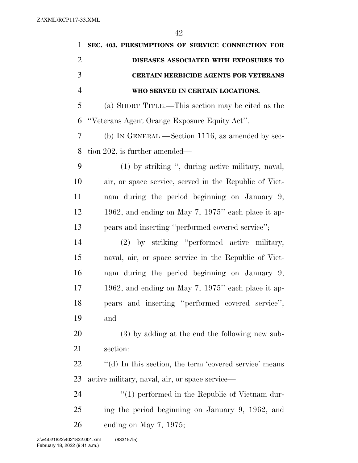| 1              | SEC. 403. PRESUMPTIONS OF SERVICE CONNECTION FOR       |
|----------------|--------------------------------------------------------|
| $\overline{2}$ | DISEASES ASSOCIATED WITH EXPOSURES TO                  |
| 3              | <b>CERTAIN HERBICIDE AGENTS FOR VETERANS</b>           |
| $\overline{4}$ | WHO SERVED IN CERTAIN LOCATIONS.                       |
| 5              | (a) SHORT TITLE.—This section may be cited as the      |
| 6              | "Veterans Agent Orange Exposure Equity Act".           |
| 7              | (b) IN GENERAL.—Section 1116, as amended by sec-       |
| 8              | tion 202, is further amended—                          |
| 9              | (1) by striking ", during active military, naval,      |
| 10             | air, or space service, served in the Republic of Viet- |
| 11             | nam during the period beginning on January 9,          |
| 12             | 1962, and ending on May 7, 1975" each place it ap-     |
| 13             | pears and inserting "performed covered service";       |
| 14             | (2) by striking "performed active military,            |
| 15             | naval, air, or space service in the Republic of Viet-  |
| 16             | nam during the period beginning on January 9,          |
| 17             | 1962, and ending on May 7, 1975" each place it ap-     |
| 18             | pears and inserting "performed covered service";       |
| 19             | and                                                    |
| 20             | (3) by adding at the end the following new sub-        |
| 21             | section:                                               |
| 22             | "(d) In this section, the term 'covered service' means |
| 23             | active military, naval, air, or space service—         |
| 24             | $\lq(1)$ performed in the Republic of Vietnam dur-     |
| 25             | ing the period beginning on January 9, 1962, and       |
| 26             | ending on May $7, 1975$ ;                              |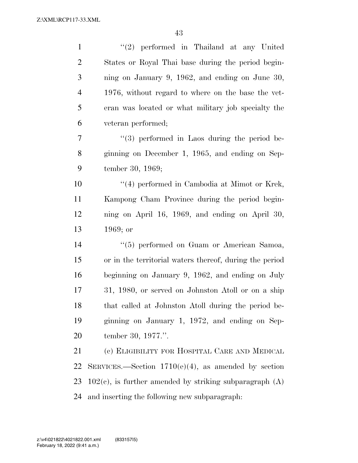| $\mathbf{1}$   | $(2)$ performed in Thailand at any United                    |
|----------------|--------------------------------------------------------------|
| $\overline{2}$ | States or Royal Thai base during the period begin-           |
| 3              | ning on January 9, 1962, and ending on June $30$ ,           |
| $\overline{4}$ | 1976, without regard to where on the base the vet-           |
| 5              | eran was located or what military job specialty the          |
| 6              | veteran performed;                                           |
| 7              | $\lq(3)$ performed in Laos during the period be-             |
| 8              | ginning on December 1, 1965, and ending on Sep-              |
| 9              | tember 30, 1969;                                             |
| 10             | $\lq(4)$ performed in Cambodia at Mimot or Krek,             |
| 11             | Kampong Cham Province during the period begin-               |
| 12             | ning on April 16, 1969, and ending on April 30,              |
| 13             | $1969;$ or                                                   |
| 14             | "(5) performed on Guam or American Samoa,                    |
|                |                                                              |
| 15             | or in the territorial waters thereof, during the period      |
| 16             | beginning on January 9, 1962, and ending on July             |
| 17             | 31, 1980, or served on Johnston Atoll or on a ship           |
| 18             | that called at Johnston Atoll during the period be-          |
| 19             | ginning on January 1, 1972, and ending on Sep-               |
| 20             | tember 30, 1977.".                                           |
| 21             | (c) ELIGIBILITY FOR HOSPITAL CARE AND MEDICAL                |
| 22             | SERVICES.—Section $1710(e)(4)$ , as amended by section       |
| 23             | $102(c)$ , is further amended by striking subparagraph $(A)$ |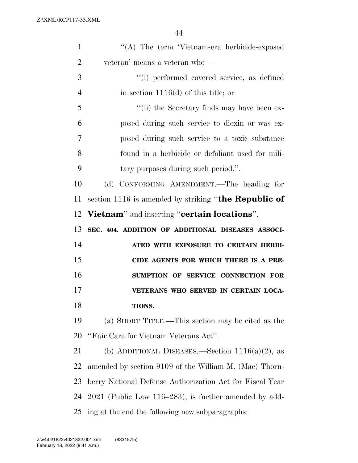| $\mathbf{1}$   | "(A) The term 'Vietnam-era herbicide-exposed             |
|----------------|----------------------------------------------------------|
| $\overline{2}$ | veteran' means a veteran who-                            |
| 3              | "(i) performed covered service, as defined               |
| $\overline{4}$ | in section $1116(d)$ of this title; or                   |
| 5              | "(ii) the Secretary finds may have been ex-              |
| 6              | posed during such service to dioxin or was ex-           |
| 7              | posed during such service to a toxic substance           |
| 8              | found in a herbicide or defoliant used for mili-         |
| 9              | tary purposes during such period.".                      |
| 10             | (d) CONFORMING AMENDMENT.—The heading for                |
| 11             | section 1116 is amended by striking "the Republic of     |
|                | 12 Vietnam" and inserting "certain locations".           |
| 13             | SEC. 404. ADDITION OF ADDITIONAL DISEASES ASSOCI-        |
| 14             | ATED WITH EXPOSURE TO CERTAIN HERBI-                     |
| 15             | CIDE AGENTS FOR WHICH THERE IS A PRE-                    |
| 16             | SUMPTION OF SERVICE CONNECTION FOR                       |
| 17             | VETERANS WHO SERVED IN CERTAIN LOCA-                     |
| 18             | TIONS.                                                   |
| 19             | (a) SHORT TITLE.—This section may be cited as the        |
| 20             | "Fair Care for Vietnam Veterans Act".                    |
| 21             | (b) ADDITIONAL DISEASES.—Section $1116(a)(2)$ , as       |
| 22             | amended by section 9109 of the William M. (Mac) Thorn-   |
| 23             | berry National Defense Authorization Act for Fiscal Year |
| 24             | $2021$ (Public Law 116–283), is further amended by add-  |
| 25             |                                                          |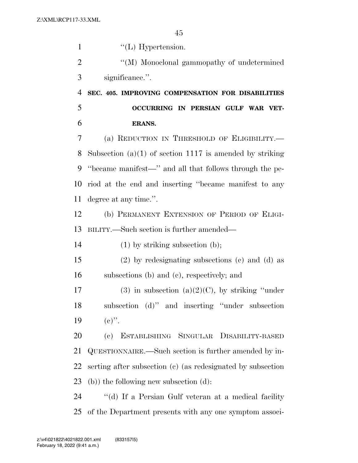1 ''(L) Hypertension.  $\bullet$  ''(M) Monoclonal gammopathy of undetermined significance.''. **SEC. 405. IMPROVING COMPENSATION FOR DISABILITIES OCCURRING IN PERSIAN GULF WAR VET- ERANS.**  (a) REDUCTION IN THRESHOLD OF ELIGIBILITY.— Subsection (a)(1) of section 1117 is amended by striking ''became manifest—'' and all that follows through the pe- riod at the end and inserting ''became manifest to any degree at any time.''. (b) PERMANENT EXTENSION OF PERIOD OF ELIGI- BILITY.—Such section is further amended— (1) by striking subsection (b); (2) by redesignating subsections (c) and (d) as subsections (b) and (c), respectively; and 17 (3) in subsection (a)(2)(C), by striking "under subsection (d)'' and inserting ''under subsection 19  $(e)$ ". (c) ESTABLISHING SINGULAR DISABILITY-BASED QUESTIONNAIRE.—Such section is further amended by in- serting after subsection (c) (as redesignated by subsection (b)) the following new subsection (d): ''(d) If a Persian Gulf veteran at a medical facility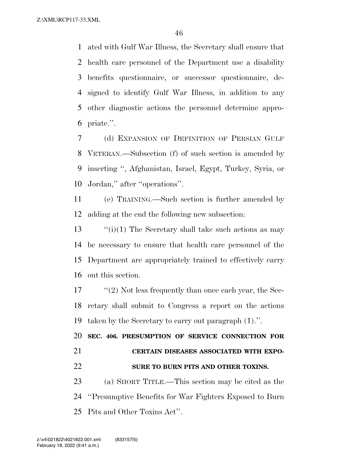ated with Gulf War Illness, the Secretary shall ensure that health care personnel of the Department use a disability benefits questionnaire, or successor questionnaire, de- signed to identify Gulf War Illness, in addition to any other diagnostic actions the personnel determine appro-priate.''.

 (d) EXPANSION OF DEFINITION OF PERSIAN GULF VETERAN.—Subsection (f) of such section is amended by inserting '', Afghanistan, Israel, Egypt, Turkey, Syria, or Jordan,'' after ''operations''.

 (e) TRAINING.—Such section is further amended by adding at the end the following new subsection:

 $\frac{1}{10}$  The Secretary shall take such actions as may be necessary to ensure that health care personnel of the Department are appropriately trained to effectively carry out this section.

17 ''(2) Not less frequently than once each year, the Sec- retary shall submit to Congress a report on the actions taken by the Secretary to carry out paragraph (1).''.

 **SEC. 406. PRESUMPTION OF SERVICE CONNECTION FOR CERTAIN DISEASES ASSOCIATED WITH EXPO-SURE TO BURN PITS AND OTHER TOXINS.** 

 (a) SHORT TITLE.—This section may be cited as the ''Presumptive Benefits for War Fighters Exposed to Burn Pits and Other Toxins Act''.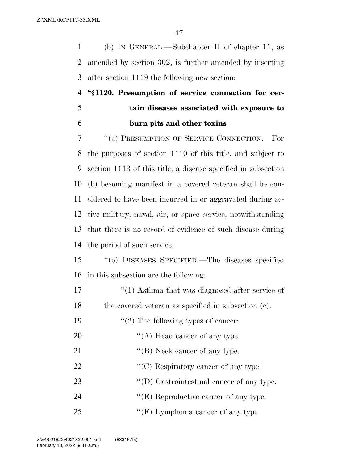(b) IN GENERAL.—Subchapter II of chapter 11, as amended by section 302, is further amended by inserting after section 1119 the following new section:

# **''§ 1120. Presumption of service connection for cer- tain diseases associated with exposure to burn pits and other toxins**

 ''(a) PRESUMPTION OF SERVICE CONNECTION.—For the purposes of section 1110 of this title, and subject to section 1113 of this title, a disease specified in subsection (b) becoming manifest in a covered veteran shall be con- sidered to have been incurred in or aggravated during ac- tive military, naval, air, or space service, notwithstanding that there is no record of evidence of such disease during the period of such service.

 ''(b) DISEASES SPECIFIED.—The diseases specified in this subsection are the following:

17 ''(1) Asthma that was diagnosed after service of the covered veteran as specified in subsection (c).

19  $\frac{1}{2}$  The following types of cancer:

- 20  $"$ (A) Head cancer of any type.
- 21 ""(B) Neck cancer of any type.
- 22  $\langle \text{C} \rangle$  Respiratory cancer of any type.
- 23 ''(D) Gastrointestinal cancer of any type.
- 24 "(E) Reproductive cancer of any type.
- 25 "'(F) Lymphoma cancer of any type.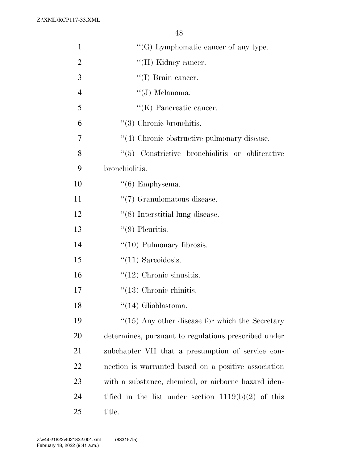Z:\XML\RCP117-33.XML

| $\mathbf{1}$   | $\lq\lq(G)$ Lymphomatic cancer of any type.           |
|----------------|-------------------------------------------------------|
| $\overline{2}$ | "(H) Kidney cancer.                                   |
| 3              | $\lq\lq$ (I) Brain cancer.                            |
| $\overline{4}$ | $\lq\lq(J)$ Melanoma.                                 |
| 5              | "(K) Pancreatic cancer.                               |
| 6              | $\lq(3)$ Chronic bronchitis.                          |
| 7              | "(4) Chronic obstructive pulmonary disease.           |
| 8              | (5)<br>Constrictive bronchiolitis or obliterative     |
| 9              | bronchiolitis.                                        |
| 10             | $\lq(6)$ Emphysema.                                   |
| 11             | $\lq(7)$ Granulomatous disease.                       |
| 12             | $\cdot$ (8) Interstitial lung disease.                |
| 13             | $\lq(9)$ Pleuritis.                                   |
| 14             | $\lq(10)$ Pulmonary fibrosis.                         |
| 15             | $"(11)$ Sarcoidosis.                                  |
| 16             | $\lq(12)$ Chronic sinusitis.                          |
| 17             | $\lq(13)$ Chronic rhinitis.                           |
| 18             | $``(14)$ Glioblastoma.                                |
| 19             | $\lq(15)$ Any other disease for which the Secretary   |
| 20             | determines, pursuant to regulations prescribed under  |
| 21             | subchapter VII that a presumption of service con-     |
| 22             | nection is warranted based on a positive association  |
| 23             | with a substance, chemical, or airborne hazard iden-  |
| 24             | tified in the list under section $1119(b)(2)$ of this |
| 25             | title.                                                |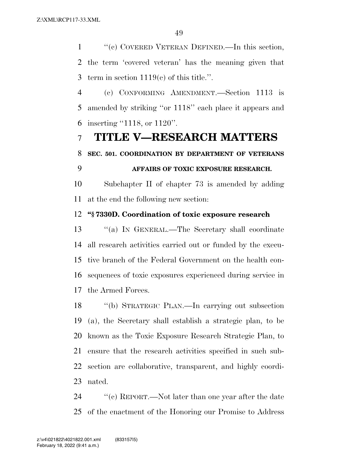''(c) COVERED VETERAN DEFINED.—In this section, the term 'covered veteran' has the meaning given that term in section 1119(c) of this title.''.

 (c) CONFORMING AMENDMENT.—Section 1113 is amended by striking ''or 1118'' each place it appears and inserting ''1118, or 1120''.

### **TITLE V—RESEARCH MATTERS**

### **SEC. 501. COORDINATION BY DEPARTMENT OF VETERANS**

### **AFFAIRS OF TOXIC EXPOSURE RESEARCH.**

 Subchapter II of chapter 73 is amended by adding at the end the following new section:

### **''§ 7330D. Coordination of toxic exposure research**

 ''(a) IN GENERAL.—The Secretary shall coordinate all research activities carried out or funded by the execu- tive branch of the Federal Government on the health con- sequences of toxic exposures experienced during service in the Armed Forces.

 ''(b) STRATEGIC PLAN.—In carrying out subsection (a), the Secretary shall establish a strategic plan, to be known as the Toxic Exposure Research Strategic Plan, to ensure that the research activities specified in such sub- section are collaborative, transparent, and highly coordi-nated.

24 ''(c) REPORT.—Not later than one year after the date of the enactment of the Honoring our Promise to Address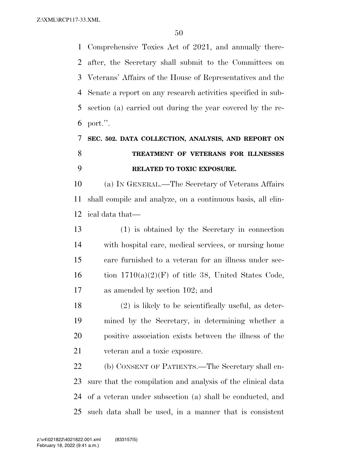Comprehensive Toxics Act of 2021, and annually there- after, the Secretary shall submit to the Committees on Veterans' Affairs of the House of Representatives and the Senate a report on any research activities specified in sub- section (a) carried out during the year covered by the re-port.''.

# **SEC. 502. DATA COLLECTION, ANALYSIS, AND REPORT ON TREATMENT OF VETERANS FOR ILLNESSES RELATED TO TOXIC EXPOSURE.**

 (a) IN GENERAL.—The Secretary of Veterans Affairs shall compile and analyze, on a continuous basis, all clin-ical data that—

 (1) is obtained by the Secretary in connection with hospital care, medical services, or nursing home care furnished to a veteran for an illness under sec-16 tion  $1710(a)(2)(F)$  of title 38, United States Code, as amended by section 102; and

 (2) is likely to be scientifically useful, as deter- mined by the Secretary, in determining whether a positive association exists between the illness of the veteran and a toxic exposure.

 (b) CONSENT OF PATIENTS.—The Secretary shall en- sure that the compilation and analysis of the clinical data of a veteran under subsection (a) shall be conducted, and such data shall be used, in a manner that is consistent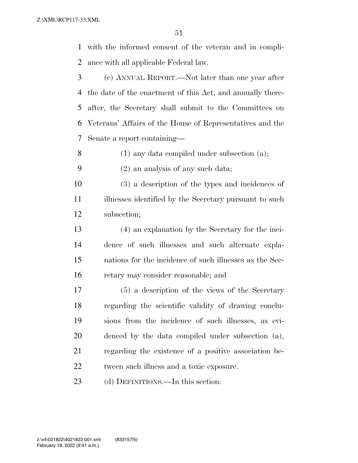with the informed consent of the veteran and in compli-ance with all applicable Federal law.

 (c) ANNUAL REPORT.—Not later than one year after the date of the enactment of this Act, and annually there- after, the Secretary shall submit to the Committees on Veterans' Affairs of the House of Representatives and the Senate a report containing—

(1) any data compiled under subsection (a);

- (2) an analysis of any such data;
- (3) a description of the types and incidences of illnesses identified by the Secretary pursuant to such subsection;
- (4) an explanation by the Secretary for the inci- dence of such illnesses and such alternate expla- nations for the incidence of such illnesses as the Sec-retary may consider reasonable; and
- (5) a description of the views of the Secretary regarding the scientific validity of drawing conclu- sions from the incidence of such illnesses, as evi- denced by the data compiled under subsection (a), regarding the existence of a positive association be-tween such illness and a toxic exposure.

23 (d) DEFINITIONS.—In this section: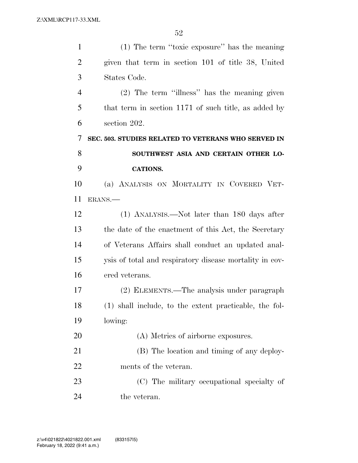| $\mathbf{1}$   | (1) The term "toxic exposure" has the meaning           |
|----------------|---------------------------------------------------------|
| $\overline{2}$ | given that term in section 101 of title 38, United      |
| 3              | States Code.                                            |
| 4              | (2) The term "illness" has the meaning given            |
| 5              | that term in section 1171 of such title, as added by    |
| 6              | section 202.                                            |
| 7              | SEC. 503. STUDIES RELATED TO VETERANS WHO SERVED IN     |
| 8              | SOUTHWEST ASIA AND CERTAIN OTHER LO-                    |
| 9              | <b>CATIONS.</b>                                         |
| 10             | (a) ANALYSIS ON MORTALITY IN COVERED VET-               |
| 11             | ERANS.                                                  |
| 12             | (1) ANALYSIS.—Not later than 180 days after             |
| 13             | the date of the enactment of this Act, the Secretary    |
| 14             | of Veterans Affairs shall conduct an updated anal-      |
| 15             | ysis of total and respiratory disease mortality in cov- |
| 16             | ered veterans.                                          |
| 17             | (2) ELEMENTS.—The analysis under paragraph              |
| 18             | (1) shall include, to the extent practicable, the fol-  |
| 19             | lowing:                                                 |
| 20             | (A) Metrics of airborne exposures.                      |
| 21             | (B) The location and timing of any deploy-              |
| 22             | ments of the veteran.                                   |
| 23             | (C) The military occupational specialty of              |
| 24             | the veteran.                                            |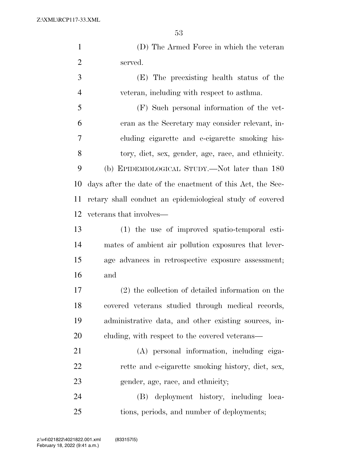Z:\XML\RCP117-33.XML

| $\mathbf{1}$   | (D) The Armed Force in which the veteran                   |
|----------------|------------------------------------------------------------|
| $\overline{c}$ | served.                                                    |
| 3              | (E) The preexisting health status of the                   |
| 4              | veteran, including with respect to asthma.                 |
| 5              | (F) Such personal information of the vet-                  |
| 6              | eran as the Secretary may consider relevant, in-           |
| 7              | cluding cigarette and e-cigarette smoking his-             |
| 8              | tory, diet, sex, gender, age, race, and ethnicity.         |
| 9              | (b) EPIDEMIOLOGICAL STUDY.—Not later than 180              |
| 10             | days after the date of the enactment of this Act, the Sec- |
| 11             | retary shall conduct an epidemiological study of covered   |
| 12             | veterans that involves—                                    |
| 13             | (1) the use of improved spatio-temporal esti-              |
| 14             | mates of ambient air pollution exposures that lever-       |
| 15             | age advances in retrospective exposure assessment;         |
| 16             | and                                                        |
| 17             | (2) the collection of detailed information on the          |
| 18             | covered veterans studied through medical records,          |
| 19             | administrative data, and other existing sources, in-       |
| 20             | cluding, with respect to the covered veterans—             |
| 21             | (A) personal information, including ciga-                  |
| 22             | rette and e-cigarette smoking history, diet, sex,          |
| 23             | gender, age, race, and ethnicity;                          |
| 24             | deployment history, including loca-<br>(B)                 |

tions, periods, and number of deployments;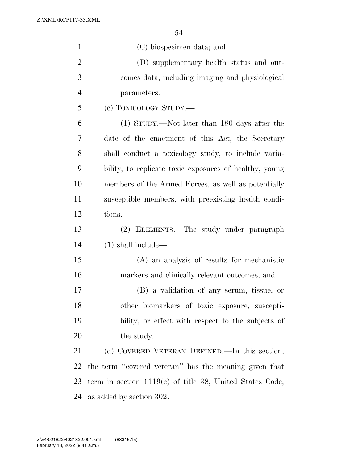Z:\XML\RCP117-33.XML

| $\mathbf{1}$   | (C) biospecimen data; and                                  |
|----------------|------------------------------------------------------------|
| $\overline{2}$ | (D) supplementary health status and out-                   |
| 3              | comes data, including imaging and physiological            |
| $\overline{4}$ | parameters.                                                |
| 5              | (c) TOXICOLOGY STUDY.—                                     |
| 6              | (1) STUDY.—Not later than 180 days after the               |
| 7              | date of the enactment of this Act, the Secretary           |
| 8              | shall conduct a toxicology study, to include varia-        |
| 9              | bility, to replicate toxic exposures of healthy, young     |
| 10             | members of the Armed Forces, as well as potentially        |
| 11             | susceptible members, with preexisting health condi-        |
| 12             | tions.                                                     |
| 13             | (2) ELEMENTS.—The study under paragraph                    |
| 14             | $(1)$ shall include—                                       |
| 15             | (A) an analysis of results for mechanistic                 |
| 16             | markers and clinically relevant outcomes; and              |
| 17             | (B) a validation of any serum, tissue, or                  |
| 18             | other biomarkers of toxic exposure, suscepti-              |
| 19             | bility, or effect with respect to the subjects of          |
| 20             | the study.                                                 |
| 21             | (d) COVERED VETERAN DEFINED.—In this section,              |
| 22             | the term "covered veteran" has the meaning given that      |
| 23             | term in section $1119(c)$ of title 38, United States Code, |
| 24             | as added by section 302.                                   |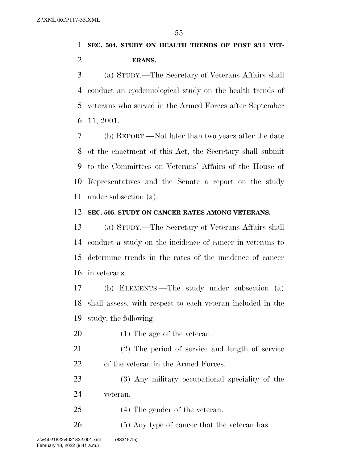### **SEC. 504. STUDY ON HEALTH TRENDS OF POST 9/11 VET-ERANS.**

 (a) STUDY.—The Secretary of Veterans Affairs shall conduct an epidemiological study on the health trends of veterans who served in the Armed Forces after September 11, 2001.

 (b) REPORT.—Not later than two years after the date of the enactment of this Act, the Secretary shall submit to the Committees on Veterans' Affairs of the House of Representatives and the Senate a report on the study under subsection (a).

#### **SEC. 505. STUDY ON CANCER RATES AMONG VETERANS.**

 (a) STUDY.—The Secretary of Veterans Affairs shall conduct a study on the incidence of cancer in veterans to determine trends in the rates of the incidence of cancer in veterans.

 (b) ELEMENTS.—The study under subsection (a) shall assess, with respect to each veteran included in the study, the following:

- (1) The age of the veteran.
- (2) The period of service and length of service 22 of the veteran in the Armed Forces.

 (3) Any military occupational speciality of the veteran.

(4) The gender of the veteran.

26 (5) Any type of cancer that the veteran has.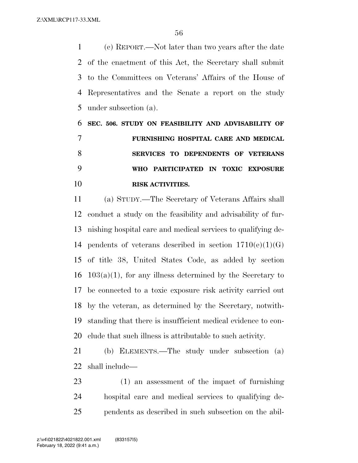(c) REPORT.—Not later than two years after the date of the enactment of this Act, the Secretary shall submit to the Committees on Veterans' Affairs of the House of Representatives and the Senate a report on the study under subsection (a).

 **SEC. 506. STUDY ON FEASIBILITY AND ADVISABILITY OF FURNISHING HOSPITAL CARE AND MEDICAL SERVICES TO DEPENDENTS OF VETERANS WHO PARTICIPATED IN TOXIC EXPOSURE RISK ACTIVITIES.** 

 (a) STUDY.—The Secretary of Veterans Affairs shall conduct a study on the feasibility and advisability of fur- nishing hospital care and medical services to qualifying de-14 pendents of veterans described in section  $1710(e)(1)(G)$  of title 38, United States Code, as added by section  $16 \quad 103(a)(1)$ , for any illness determined by the Secretary to be connected to a toxic exposure risk activity carried out by the veteran, as determined by the Secretary, notwith- standing that there is insufficient medical evidence to con-clude that such illness is attributable to such activity.

 (b) ELEMENTS.—The study under subsection (a) shall include—

 (1) an assessment of the impact of furnishing hospital care and medical services to qualifying de-pendents as described in such subsection on the abil-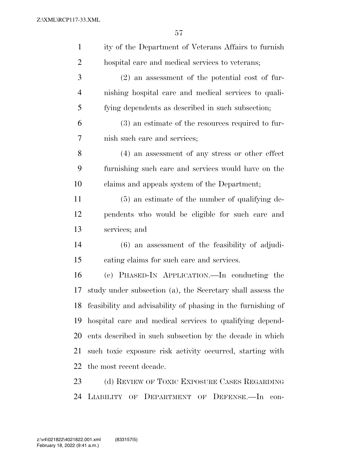| $\mathbf{1}$   | ity of the Department of Veterans Affairs to furnish         |
|----------------|--------------------------------------------------------------|
| $\overline{2}$ | hospital care and medical services to veterans;              |
| 3              | $(2)$ an assessment of the potential cost of fur-            |
| $\overline{4}$ | nishing hospital care and medical services to quali-         |
| 5              | fying dependents as described in such subsection;            |
| 6              | (3) an estimate of the resources required to fur-            |
| 7              | nish such care and services;                                 |
| 8              | (4) an assessment of any stress or other effect              |
| 9              | furnishing such care and services would have on the          |
| 10             | claims and appeals system of the Department;                 |
| 11             | $(5)$ an estimate of the number of qualifying de-            |
| 12             | pendents who would be eligible for such care and             |
| 13             | services; and                                                |
| 14             | $(6)$ an assessment of the feasibility of adjudi-            |
| 15             | cating claims for such care and services.                    |
| 16             | (c) PHASED-IN APPLICATION.—In conducting the                 |
| 17             | study under subsection (a), the Secretary shall assess the   |
| 18             | feasibility and advisability of phasing in the furnishing of |
| 19             | hospital care and medical services to qualifying depend-     |
| 20             | ents described in such subsection by the decade in which     |
| 21             | such toxic exposure risk activity occurred, starting with    |
| 22             | the most recent decade.                                      |
| 23             | (d) REVIEW OF TOXIC EXPOSURE CASES REGARDING                 |

LIABILITY OF DEPARTMENT OF DEFENSE.—In con-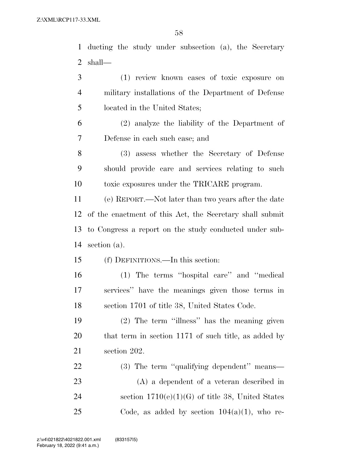ducting the study under subsection (a), the Secretary shall— (1) review known cases of toxic exposure on military installations of the Department of Defense located in the United States; (2) analyze the liability of the Department of Defense in each such case; and (3) assess whether the Secretary of Defense should provide care and services relating to such toxic exposures under the TRICARE program. (e) REPORT.—Not later than two years after the date of the enactment of this Act, the Secretary shall submit

 to Congress a report on the study conducted under sub-section (a).

(f) DEFINITIONS.—In this section:

 (1) The terms ''hospital care'' and ''medical services'' have the meanings given those terms in section 1701 of title 38, United States Code.

 (2) The term ''illness'' has the meaning given that term in section 1171 of such title, as added by section 202.

 (3) The term ''qualifying dependent'' means— (A) a dependent of a veteran described in 24 section  $1710(e)(1)(G)$  of title 38, United States 25 Code, as added by section  $104(a)(1)$ , who re-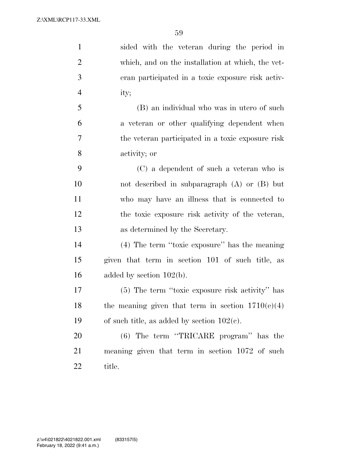| $\mathbf{1}$   | sided with the veteran during the period in         |
|----------------|-----------------------------------------------------|
| $\overline{2}$ | which, and on the installation at which, the vet-   |
| 3              | eran participated in a toxic exposure risk activ-   |
| $\overline{4}$ | ity;                                                |
| 5              | (B) an individual who was in utero of such          |
| 6              | a veteran or other qualifying dependent when        |
| 7              | the veteran participated in a toxic exposure risk   |
| 8              | activity; or                                        |
| 9              | (C) a dependent of such a veteran who is            |
| 10             | not described in subparagraph $(A)$ or $(B)$ but    |
| 11             | who may have an illness that is connected to        |
| 12             | the toxic exposure risk activity of the veteran,    |
| 13             | as determined by the Secretary.                     |
| 14             | (4) The term "toxic exposure" has the meaning       |
| 15             | given that term in section 101 of such title, as    |
| 16             | added by section $102(b)$ .                         |
| 17             | (5) The term "toxic exposure risk activity" has     |
| 18             | the meaning given that term in section $1710(e)(4)$ |
| 19             | of such title, as added by section $102(c)$ .       |
| 20             | (6) The term "TRICARE program" has the              |
| 21             | meaning given that term in section 1072 of such     |
| 22             | title.                                              |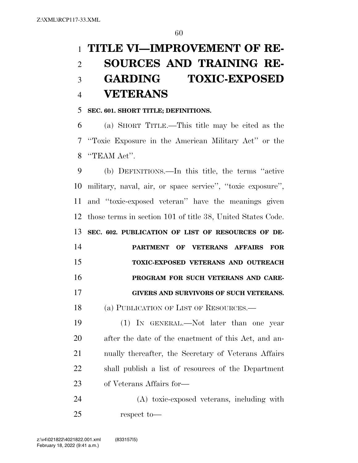# **TITLE VI—IMPROVEMENT OF RE- SOURCES AND TRAINING RE- GARDING TOXIC-EXPOSED VETERANS**

#### **SEC. 601. SHORT TITLE; DEFINITIONS.**

 (a) SHORT TITLE.—This title may be cited as the ''Toxic Exposure in the American Military Act'' or the ''TEAM Act''.

 (b) DEFINITIONS.—In this title, the terms ''active military, naval, air, or space service'', ''toxic exposure'', and ''toxic-exposed veteran'' have the meanings given those terms in section 101 of title 38, United States Code. **SEC. 602. PUBLICATION OF LIST OF RESOURCES OF DE- PARTMENT OF VETERANS AFFAIRS FOR TOXIC-EXPOSED VETERANS AND OUTREACH PROGRAM FOR SUCH VETERANS AND CARE-GIVERS AND SURVIVORS OF SUCH VETERANS.** 

(a) PUBLICATION OF LIST OF RESOURCES.—

 (1) IN GENERAL.—Not later than one year after the date of the enactment of this Act, and an- nually thereafter, the Secretary of Veterans Affairs shall publish a list of resources of the Department of Veterans Affairs for—

 (A) toxic-exposed veterans, including with respect to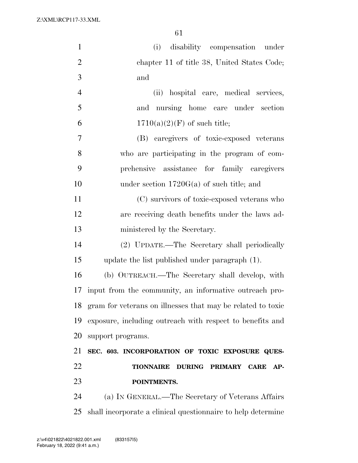Z:\XML\RCP117-33.XML

| $\mathbf{1}$   | disability compensation under<br>(i)                              |
|----------------|-------------------------------------------------------------------|
| $\overline{2}$ | chapter 11 of title 38, United States Code;                       |
| 3              | and                                                               |
| $\overline{4}$ | hospital care, medical services,<br>(ii)                          |
| 5              | and nursing home care under section                               |
| 6              | $1710(a)(2)(F)$ of such title;                                    |
| $\overline{7}$ | (B) caregivers of toxic-exposed veterans                          |
| 8              | who are participating in the program of com-                      |
| 9              | prehensive assistance for family caregivers                       |
| 10             | under section $1720G(a)$ of such title; and                       |
| 11             | (C) survivors of toxic-exposed veterans who                       |
| 12             | are receiving death benefits under the laws ad-                   |
| 13             | ministered by the Secretary.                                      |
| 14             | (2) UPDATE.—The Secretary shall periodically                      |
| 15             | update the list published under paragraph (1).                    |
| 16             | (b) OUTREACH.—The Secretary shall develop, with                   |
| 17             | input from the community, an informative outreach pro-            |
| 18             | gram for veterans on illnesses that may be related to toxic       |
| 19             | exposure, including outreach with respect to benefits and         |
| 20             | support programs.                                                 |
| 21             | SEC. 603. INCORPORATION OF TOXIC EXPOSURE QUES-                   |
| 22             | <b>DURING PRIMARY</b><br><b>TIONNAIRE</b><br><b>CARE</b><br>$AP-$ |
| 23             | POINTMENTS.                                                       |
| 24             | (a) IN GENERAL.—The Secretary of Veterans Affairs                 |
| 25             | shall incorporate a clinical questionnaire to help determine      |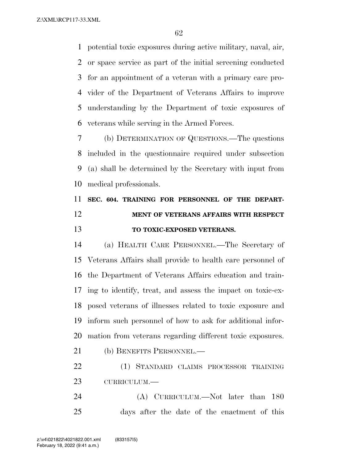potential toxic exposures during active military, naval, air, or space service as part of the initial screening conducted for an appointment of a veteran with a primary care pro- vider of the Department of Veterans Affairs to improve understanding by the Department of toxic exposures of veterans while serving in the Armed Forces.

 (b) DETERMINATION OF QUESTIONS.—The questions included in the questionnaire required under subsection (a) shall be determined by the Secretary with input from medical professionals.

# **SEC. 604. TRAINING FOR PERSONNEL OF THE DEPART- MENT OF VETERANS AFFAIRS WITH RESPECT TO TOXIC-EXPOSED VETERANS.**

 (a) HEALTH CARE PERSONNEL.—The Secretary of Veterans Affairs shall provide to health care personnel of the Department of Veterans Affairs education and train- ing to identify, treat, and assess the impact on toxic-ex- posed veterans of illnesses related to toxic exposure and inform such personnel of how to ask for additional infor-mation from veterans regarding different toxic exposures.

(b) BENEFITS PERSONNEL.—

 (1) STANDARD CLAIMS PROCESSOR TRAINING CURRICULUM.—

24 (A) CURRICULUM.—Not later than 180 days after the date of the enactment of this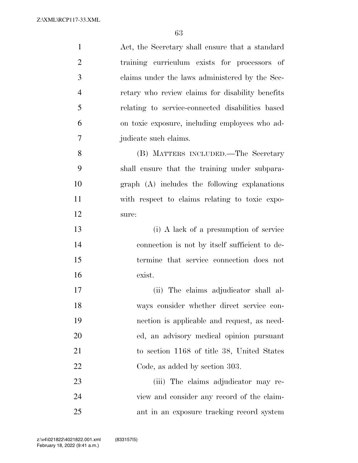| $\mathbf{1}$   | Act, the Secretary shall ensure that a standard  |
|----------------|--------------------------------------------------|
| $\overline{2}$ | training curriculum exists for processors of     |
| 3              | claims under the laws administered by the Sec-   |
| $\overline{4}$ | retary who review claims for disability benefits |
| 5              | relating to service-connected disabilities based |
| 6              | on toxic exposure, including employees who ad-   |
| 7              | judicate such claims.                            |
| 8              | (B) MATTERS INCLUDED.—The Secretary              |
| 9              | shall ensure that the training under subpara-    |
| 10             | graph (A) includes the following explanations    |
| 11             | with respect to claims relating to toxic expo-   |
| 12             | sure:                                            |
| 13             | (i) A lack of a presumption of service           |
| 14             | connection is not by itself sufficient to de-    |
| 15             | termine that service connection does not         |
| 16             | exist.                                           |
| 17             | (ii) The claims adjudicator shall al-            |
| 18             | ways consider whether direct service con-        |
| 19             | nection is applicable and request, as need-      |
| 20             | ed, an advisory medical opinion pursuant         |
| 21             | to section 1168 of title 38, United States       |
| 22             | Code, as added by section 303.                   |
| 23             | (iii) The claims adjudicator may re-             |
| 24             | view and consider any record of the claim-       |
| 25             | ant in an exposure tracking record system        |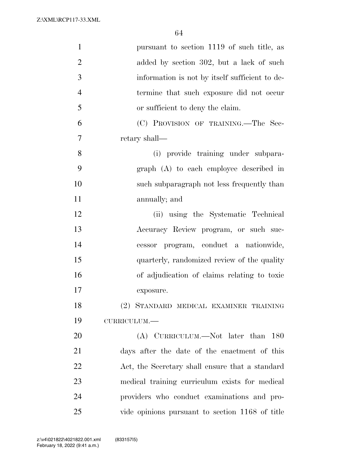Z:\XML\RCP117-33.XML

| $\mathbf{1}$   | pursuant to section 1119 of such title, as      |
|----------------|-------------------------------------------------|
| $\overline{2}$ | added by section 302, but a lack of such        |
| 3              | information is not by itself sufficient to de-  |
| $\overline{4}$ | termine that such exposure did not occur        |
| 5              | or sufficient to deny the claim.                |
| 6              | (C) PROVISION OF TRAINING.—The Sec-             |
| 7              | retary shall—                                   |
| 8              | (i) provide training under subpara-             |
| 9              | graph (A) to each employee described in         |
| 10             | such subparagraph not less frequently than      |
| 11             | annually; and                                   |
| 12             | (ii) using the Systematic Technical             |
| 13             | Accuracy Review program, or such suc-           |
| 14             | cessor program, conduct a nationwide,           |
| 15             | quarterly, randomized review of the quality     |
| 16             | of adjudication of claims relating to toxic     |
| 17             | exposure.                                       |
| 18             | (2) STANDARD MEDICAL EXAMINER TRAINING          |
| 19             | CURRICULUM.-                                    |
| 20             | (A) CURRICULUM.—Not later than<br><b>180</b>    |
| 21             | days after the date of the enactment of this    |
| 22             | Act, the Secretary shall ensure that a standard |
| 23             | medical training curriculum exists for medical  |
| 24             | providers who conduct examinations and pro-     |
| 25             | vide opinions pursuant to section 1168 of title |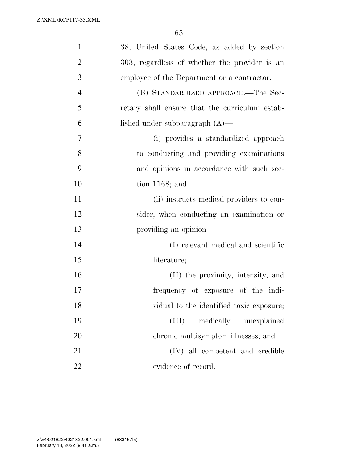| $\mathbf{1}$   | 38, United States Code, as added by section    |
|----------------|------------------------------------------------|
| $\overline{2}$ | 303, regardless of whether the provider is an  |
| 3              | employee of the Department or a contractor.    |
| $\overline{4}$ | (B) STANDARDIZED APPROACH.—The Sec-            |
| 5              | retary shall ensure that the curriculum estab- |
| 6              | lished under subparagraph $(A)$ —              |
| 7              | (i) provides a standardized approach           |
| 8              | to conducting and providing examinations       |
| 9              | and opinions in accordance with such sec-      |
| 10             | tion $1168$ ; and                              |
| 11             | (ii) instructs medical providers to con-       |
| 12             | sider, when conducting an examination or       |
| 13             | providing an opinion—                          |
| 14             | (I) relevant medical and scientific            |
| 15             | literature;                                    |
| 16             | (II) the proximity, intensity, and             |
| 17             | frequency of exposure of the indi-             |
| 18             | vidual to the identified toxic exposure;       |
| 19             | medically unexplained<br>(III)                 |
| 20             | chronic multisymptom illnesses; and            |
| 21             | (IV) all competent and credible                |
| 22             | evidence of record.                            |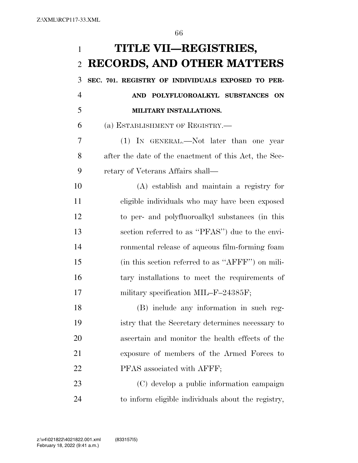**TITLE VII—REGISTRIES, RECORDS, AND OTHER MATTERS SEC. 701. REGISTRY OF INDIVIDUALS EXPOSED TO PER-**

 **AND POLYFLUOROALKYL SUBSTANCES ON MILITARY INSTALLATIONS.** 

(a) ESTABLISHMENT OF REGISTRY.—

 (1) IN GENERAL.—Not later than one year after the date of the enactment of this Act, the Sec-retary of Veterans Affairs shall—

 (A) establish and maintain a registry for eligible individuals who may have been exposed to per- and polyfluoroalkyl substances (in this section referred to as ''PFAS'') due to the envi- ronmental release of aqueous film-forming foam (in this section referred to as ''AFFF'') on mili- tary installations to meet the requirements of 17 military specification MIL–F–24385F;

 (B) include any information in such reg- istry that the Secretary determines necessary to ascertain and monitor the health effects of the exposure of members of the Armed Forces to 22 PFAS associated with AFFF;

 (C) develop a public information campaign to inform eligible individuals about the registry,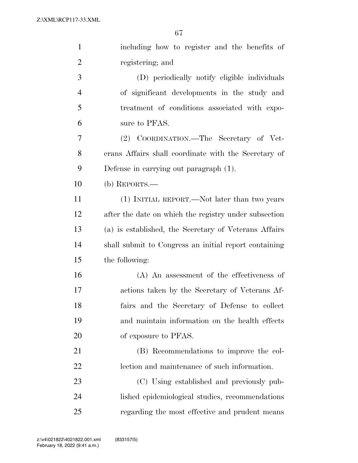| $\mathbf{1}$   | including how to register and the benefits of         |
|----------------|-------------------------------------------------------|
| $\overline{2}$ | registering; and                                      |
| 3              | (D) periodically notify eligible individuals          |
| $\overline{4}$ | of significant developments in the study and          |
| 5              | treatment of conditions associated with expo-         |
| 6              | sure to PFAS.                                         |
| 7              | (2) COORDINATION.—The Secretary of Vet-               |
| 8              | erans Affairs shall coordinate with the Secretary of  |
| 9              | Defense in carrying out paragraph (1).                |
| 10             | (b) REPORTS.—                                         |
| 11             | (1) INITIAL REPORT.—Not later than two years          |
| 12             | after the date on which the registry under subsection |
| 13             | (a) is established, the Secretary of Veterans Affairs |
| 14             | shall submit to Congress an initial report containing |
| 15             | the following:                                        |
| 16             | $(A)$ An assessment of the effectiveness of           |
| 17             | actions taken by the Secretary of Veterans Af-        |
| 18             | fairs and the Secretary of Defense to collect         |
| 19             | and maintain information on the health effects        |
| 20             | of exposure to PFAS.                                  |
| 21             | (B) Recommendations to improve the col-               |
| 22             | lection and maintenance of such information.          |
| 23             | (C) Using established and previously pub-             |
| 24             | lished epidemiological studies, recommendations       |
| 25             | regarding the most effective and prudent means        |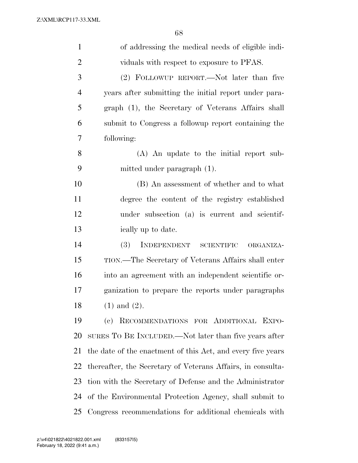| $\mathbf{1}$   | of addressing the medical needs of eligible indi-           |
|----------------|-------------------------------------------------------------|
| $\overline{2}$ | viduals with respect to exposure to PFAS.                   |
| 3              | (2) FOLLOWUP REPORT.—Not later than five                    |
| $\overline{4}$ | years after submitting the initial report under para-       |
| 5              | graph (1), the Secretary of Veterans Affairs shall          |
| 6              | submit to Congress a followup report containing the         |
| 7              | following:                                                  |
| 8              | (A) An update to the initial report sub-                    |
| 9              | mitted under paragraph (1).                                 |
| 10             | (B) An assessment of whether and to what                    |
| 11             | degree the content of the registry established              |
| 12             | under subsection (a) is current and scientif-               |
| 13             | ically up to date.                                          |
| 14             | (3)<br>INDEPENDENT SCIENTIFIC<br>ORGANIZA-                  |
| 15             | TION.—The Secretary of Veterans Affairs shall enter         |
| 16             | into an agreement with an independent scientific or-        |
| 17             | ganization to prepare the reports under paragraphs          |
| 18             | $(1)$ and $(2)$ .                                           |
| 19             | RECOMMENDATIONS FOR ADDITIONAL EXPO-<br>(e)                 |
| 20             | SURES TO BE INCLUDED.—Not later than five years after       |
| 21             | the date of the enactment of this Act, and every five years |
| 22             | thereafter, the Secretary of Veterans Affairs, in consulta- |
| 23             | tion with the Secretary of Defense and the Administrator    |
| 24             | of the Environmental Protection Agency, shall submit to     |
| 25             | Congress recommendations for additional chemicals with      |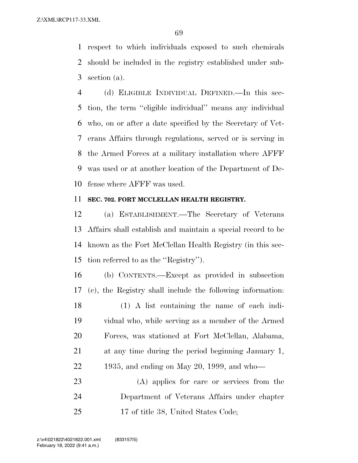respect to which individuals exposed to such chemicals should be included in the registry established under sub-section (a).

 (d) ELIGIBLE INDIVIDUAL DEFINED.—In this sec- tion, the term ''eligible individual'' means any individual who, on or after a date specified by the Secretary of Vet- erans Affairs through regulations, served or is serving in the Armed Forces at a military installation where AFFF was used or at another location of the Department of De-fense where AFFF was used.

#### **SEC. 702. FORT MCCLELLAN HEALTH REGISTRY.**

 (a) ESTABLISHMENT.—The Secretary of Veterans Affairs shall establish and maintain a special record to be known as the Fort McClellan Health Registry (in this sec-tion referred to as the ''Registry'').

 (b) CONTENTS.—Except as provided in subsection (c), the Registry shall include the following information: (1) A list containing the name of each indi- vidual who, while serving as a member of the Armed Forces, was stationed at Fort McClellan, Alabama, at any time during the period beginning January 1, 1935, and ending on May 20, 1999, and who—

 (A) applies for care or services from the Department of Veterans Affairs under chapter 17 of title 38, United States Code;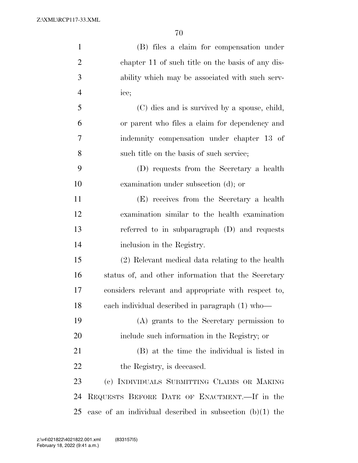| $\mathbf{1}$   | (B) files a claim for compensation under                   |
|----------------|------------------------------------------------------------|
| $\overline{2}$ | chapter 11 of such title on the basis of any dis-          |
| 3              | ability which may be associated with such serv-            |
| $\overline{4}$ | ice;                                                       |
| 5              | (C) dies and is survived by a spouse, child,               |
| 6              | or parent who files a claim for dependency and             |
| 7              | indemnity compensation under chapter 13 of                 |
| 8              | such title on the basis of such service;                   |
| 9              | (D) requests from the Secretary a health                   |
| 10             | examination under subsection (d); or                       |
| 11             | (E) receives from the Secretary a health                   |
| 12             | examination similar to the health examination              |
| 13             | referred to in subparagraph $(D)$ and requests             |
| 14             | inclusion in the Registry.                                 |
| 15             | (2) Relevant medical data relating to the health           |
| 16             | status of, and other information that the Secretary        |
| 17             | considers relevant and appropriate with respect to,        |
| 18             | each individual described in paragraph (1) who-            |
| 19             | (A) grants to the Secretary permission to                  |
| 20             | include such information in the Registry; or               |
| 21             | (B) at the time the individual is listed in                |
| 22             | the Registry, is deceased.                                 |
| 23             | (c) INDIVIDUALS SUBMITTING CLAIMS OR MAKING                |
| 24             | REQUESTS BEFORE DATE OF ENACTMENT.—If in the               |
| 25             | case of an individual described in subsection $(b)(1)$ the |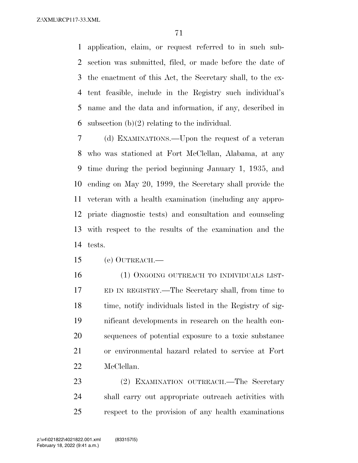application, claim, or request referred to in such sub- section was submitted, filed, or made before the date of the enactment of this Act, the Secretary shall, to the ex- tent feasible, include in the Registry such individual's name and the data and information, if any, described in 6 subsection  $(b)(2)$  relating to the individual.

 (d) EXAMINATIONS.—Upon the request of a veteran who was stationed at Fort McClellan, Alabama, at any time during the period beginning January 1, 1935, and ending on May 20, 1999, the Secretary shall provide the veteran with a health examination (including any appro- priate diagnostic tests) and consultation and counseling with respect to the results of the examination and the tests.

(e) OUTREACH.—

16 (1) ONGOING OUTREACH TO INDIVIDUALS LIST- ED IN REGISTRY.—The Secretary shall, from time to 18 time, notify individuals listed in the Registry of sig- nificant developments in research on the health con- sequences of potential exposure to a toxic substance or environmental hazard related to service at Fort McClellan.

23 (2) EXAMINATION OUTREACH.—The Secretary shall carry out appropriate outreach activities with respect to the provision of any health examinations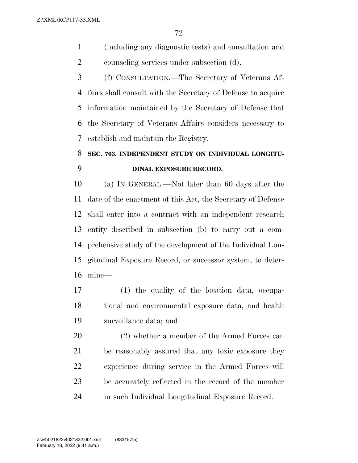(including any diagnostic tests) and consultation and counseling services under subsection (d).

 (f) CONSULTATION.—The Secretary of Veterans Af- fairs shall consult with the Secretary of Defense to acquire information maintained by the Secretary of Defense that the Secretary of Veterans Affairs considers necessary to establish and maintain the Registry.

# **SEC. 703. INDEPENDENT STUDY ON INDIVIDUAL LONGITU-DINAL EXPOSURE RECORD.**

 (a) IN GENERAL.—Not later than 60 days after the date of the enactment of this Act, the Secretary of Defense shall enter into a contract with an independent research entity described in subsection (b) to carry out a com- prehensive study of the development of the Individual Lon- gitudinal Exposure Record, or successor system, to deter-mine—

 (1) the quality of the location data, occupa- tional and environmental exposure data, and health surveillance data; and

 (2) whether a member of the Armed Forces can be reasonably assured that any toxic exposure they experience during service in the Armed Forces will be accurately reflected in the record of the member in such Individual Longitudinal Exposure Record.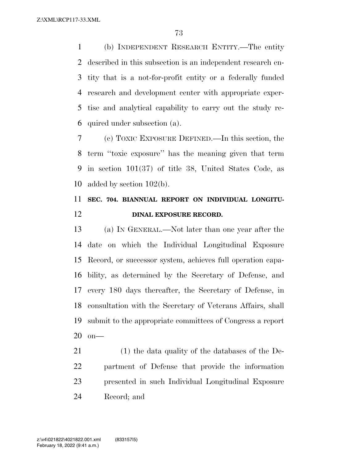(b) INDEPENDENT RESEARCH ENTITY.—The entity described in this subsection is an independent research en- tity that is a not-for-profit entity or a federally funded research and development center with appropriate exper- tise and analytical capability to carry out the study re-quired under subsection (a).

 (c) TOXIC EXPOSURE DEFINED.—In this section, the term ''toxic exposure'' has the meaning given that term in section 101(37) of title 38, United States Code, as added by section 102(b).

## **SEC. 704. BIANNUAL REPORT ON INDIVIDUAL LONGITU-DINAL EXPOSURE RECORD.**

 (a) IN GENERAL.—Not later than one year after the date on which the Individual Longitudinal Exposure Record, or successor system, achieves full operation capa- bility, as determined by the Secretary of Defense, and every 180 days thereafter, the Secretary of Defense, in consultation with the Secretary of Veterans Affairs, shall submit to the appropriate committees of Congress a report on—

 (1) the data quality of the databases of the De- partment of Defense that provide the information presented in such Individual Longitudinal Exposure Record; and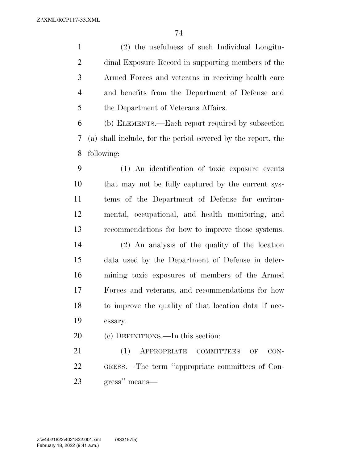(2) the usefulness of such Individual Longitu- dinal Exposure Record in supporting members of the Armed Forces and veterans in receiving health care and benefits from the Department of Defense and 5 the Department of Veterans Affairs.

 (b) ELEMENTS.—Each report required by subsection (a) shall include, for the period covered by the report, the following:

 (1) An identification of toxic exposure events that may not be fully captured by the current sys- tems of the Department of Defense for environ- mental, occupational, and health monitoring, and recommendations for how to improve those systems. (2) An analysis of the quality of the location data used by the Department of Defense in deter- mining toxic exposures of members of the Armed Forces and veterans, and recommendations for how to improve the quality of that location data if nec-essary.

(c) DEFINITIONS.—In this section:

21 (1) APPROPRIATE COMMITTEES OF CON- GRESS.—The term ''appropriate committees of Con-gress'' means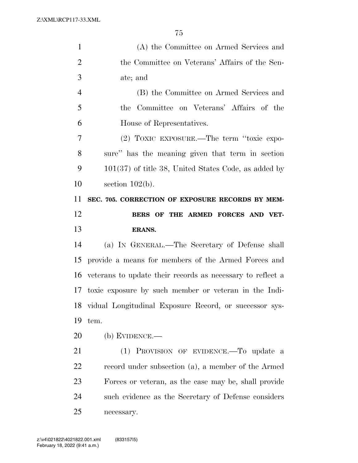Z:\XML\RCP117-33.XML

| $\mathbf{1}$   | (A) the Committee on Armed Services and                    |
|----------------|------------------------------------------------------------|
| $\overline{2}$ | the Committee on Veterans' Affairs of the Sen-             |
| 3              | ate; and                                                   |
| $\overline{4}$ | (B) the Committee on Armed Services and                    |
| 5              | the Committee on Veterans' Affairs of the                  |
| 6              | House of Representatives.                                  |
| 7              | (2) TOXIC EXPOSURE.—The term "toxic expo-                  |
| 8              | sure" has the meaning given that term in section           |
| 9              | $101(37)$ of title 38, United States Code, as added by     |
| 10             | section $102(b)$ .                                         |
| 11             | SEC. 705. CORRECTION OF EXPOSURE RECORDS BY MEM-           |
| 12             | BERS OF THE ARMED FORCES AND VET-                          |
| 13             | <b>ERANS.</b>                                              |
| 14             | (a) IN GENERAL.—The Secretary of Defense shall             |
| 15             | provide a means for members of the Armed Forces and        |
| 16             | veterans to update their records as necessary to reflect a |
|                | 17 toxic exposure by such member or veteran in the Indi-   |
| 18             | vidual Longitudinal Exposure Record, or successor sys-     |
| 19             |                                                            |
|                | tem.                                                       |
| 20             | (b) EVIDENCE.—                                             |
| 21             | (1) PROVISION OF EVIDENCE. To update a                     |
| 22             | record under subsection (a), a member of the Armed         |
| 23             | Forces or veteran, as the case may be, shall provide       |
| 24             | such evidence as the Secretary of Defense considers        |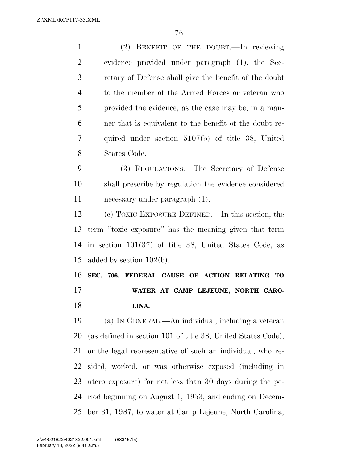Z:\XML\RCP117-33.XML

 (2) BENEFIT OF THE DOUBT.—In reviewing evidence provided under paragraph (1), the Sec- retary of Defense shall give the benefit of the doubt to the member of the Armed Forces or veteran who provided the evidence, as the case may be, in a man- ner that is equivalent to the benefit of the doubt re- quired under section 5107(b) of title 38, United States Code. (3) REGULATIONS.—The Secretary of Defense shall prescribe by regulation the evidence considered necessary under paragraph (1). (c) TOXIC EXPOSURE DEFINED.—In this section, the term ''toxic exposure'' has the meaning given that term in section 101(37) of title 38, United States Code, as added by section 102(b).

 **SEC. 706. FEDERAL CAUSE OF ACTION RELATING TO WATER AT CAMP LEJEUNE, NORTH CARO-LINA.** 

 (a) IN GENERAL.—An individual, including a veteran (as defined in section 101 of title 38, United States Code), or the legal representative of such an individual, who re- sided, worked, or was otherwise exposed (including in utero exposure) for not less than 30 days during the pe- riod beginning on August 1, 1953, and ending on Decem-ber 31, 1987, to water at Camp Lejeune, North Carolina,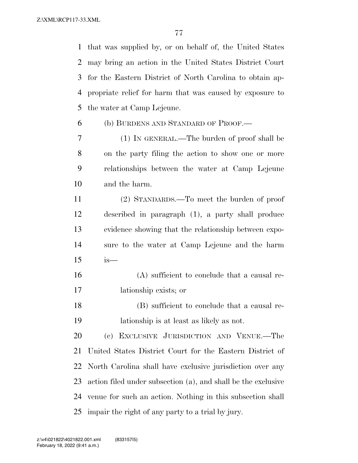that was supplied by, or on behalf of, the United States may bring an action in the United States District Court for the Eastern District of North Carolina to obtain ap- propriate relief for harm that was caused by exposure to the water at Camp Lejeune.

(b) BURDENS AND STANDARD OF PROOF.—

 (1) IN GENERAL.—The burden of proof shall be on the party filing the action to show one or more relationships between the water at Camp Lejeune and the harm.

 (2) STANDARDS.—To meet the burden of proof described in paragraph (1), a party shall produce evidence showing that the relationship between expo- sure to the water at Camp Lejeune and the harm is—

 (A) sufficient to conclude that a causal re-lationship exists; or

 (B) sufficient to conclude that a causal re-lationship is at least as likely as not.

 (c) EXCLUSIVE JURISDICTION AND VENUE.—The United States District Court for the Eastern District of North Carolina shall have exclusive jurisdiction over any action filed under subsection (a), and shall be the exclusive venue for such an action. Nothing in this subsection shall impair the right of any party to a trial by jury.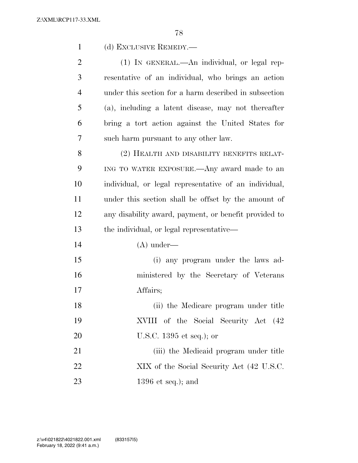| $\mathbf{1}$   | (d) EXCLUSIVE REMEDY.—                                |
|----------------|-------------------------------------------------------|
| $\overline{2}$ | (1) IN GENERAL.—An individual, or legal rep-          |
| 3              | resentative of an individual, who brings an action    |
| $\overline{4}$ | under this section for a harm described in subsection |
| 5              | (a), including a latent disease, may not thereafter   |
| 6              | bring a tort action against the United States for     |
| 7              | such harm pursuant to any other law.                  |
| 8              | (2) HEALTH AND DISABILITY BENEFITS RELAT-             |
| 9              | ING TO WATER EXPOSURE.—Any award made to an           |
| 10             | individual, or legal representative of an individual, |
| 11             | under this section shall be offset by the amount of   |
| 12             | any disability award, payment, or benefit provided to |
| 13             | the individual, or legal representative—              |
| 14             | $(A)$ under—                                          |
| 15             | (i) any program under the laws ad-                    |
| 16             | ministered by the Secretary of Veterans               |
| 17             | Affairs;                                              |
| 18             | (ii) the Medicare program under title                 |
| 19             | XVIII of the Social Security Act (42)                 |
| 20             | U.S.C. $1395$ et seq.); or                            |
| 21             | (iii) the Medicaid program under title                |
| 22             | XIX of the Social Security Act (42 U.S.C.             |
| 23             | $1396$ et seq.); and                                  |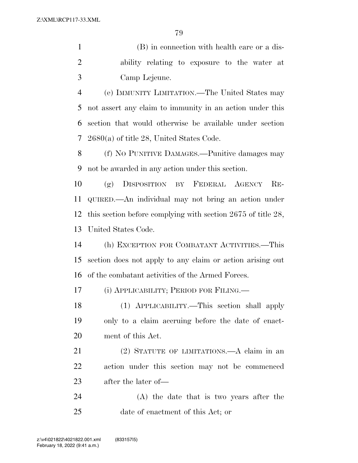(B) in connection with health care or a dis- ability relating to exposure to the water at Camp Lejeune.

 (e) IMMUNITY LIMITATION.—The United States may not assert any claim to immunity in an action under this section that would otherwise be available under section 2680(a) of title 28, United States Code.

 (f) NO PUNITIVE DAMAGES.—Punitive damages may not be awarded in any action under this section.

 (g) DISPOSITION BY FEDERAL AGENCY RE- QUIRED.—An individual may not bring an action under this section before complying with section 2675 of title 28, United States Code.

 (h) EXCEPTION FOR COMBATANT ACTIVITIES.—This section does not apply to any claim or action arising out of the combatant activities of the Armed Forces.

(i) APPLICABILITY; PERIOD FOR FILING.—

 (1) APPLICABILITY.—This section shall apply only to a claim accruing before the date of enact-ment of this Act.

 (2) STATUTE OF LIMITATIONS.—A claim in an action under this section may not be commenced after the later of—

 (A) the date that is two years after the date of enactment of this Act; or